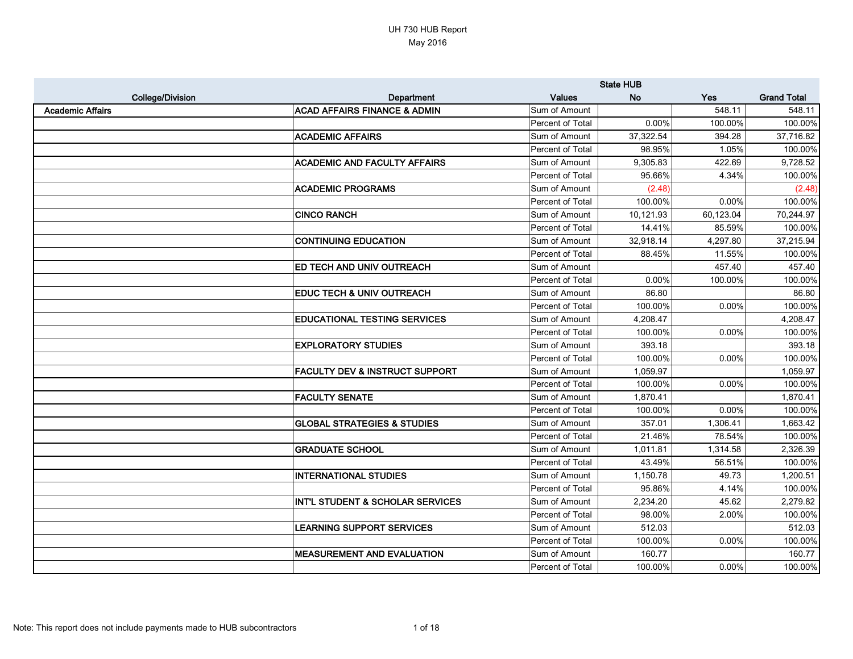# UH 730 HUB Report May 2016

|                         |                                             | <b>State HUB</b> |           |           |                    |
|-------------------------|---------------------------------------------|------------------|-----------|-----------|--------------------|
| <b>College/Division</b> | Department                                  | <b>Values</b>    | <b>No</b> | Yes       | <b>Grand Total</b> |
| <b>Academic Affairs</b> | <b>ACAD AFFAIRS FINANCE &amp; ADMIN</b>     | Sum of Amount    |           | 548.11    | 548.11             |
|                         |                                             | Percent of Total | 0.00%     | 100.00%   | 100.00%            |
|                         | <b>ACADEMIC AFFAIRS</b>                     | Sum of Amount    | 37,322.54 | 394.28    | 37,716.82          |
|                         |                                             | Percent of Total | 98.95%    | 1.05%     | 100.00%            |
|                         | <b>ACADEMIC AND FACULTY AFFAIRS</b>         | Sum of Amount    | 9,305.83  | 422.69    | 9,728.52           |
|                         |                                             | Percent of Total | 95.66%    | 4.34%     | 100.00%            |
|                         | <b>ACADEMIC PROGRAMS</b>                    | Sum of Amount    | (2.48)    |           | (2.48)             |
|                         |                                             | Percent of Total | 100.00%   | 0.00%     | 100.00%            |
|                         | <b>CINCO RANCH</b>                          | Sum of Amount    | 10,121.93 | 60,123.04 | 70,244.97          |
|                         |                                             | Percent of Total | 14.41%    | 85.59%    | 100.00%            |
|                         | <b>CONTINUING EDUCATION</b>                 | Sum of Amount    | 32,918.14 | 4,297.80  | 37,215.94          |
|                         |                                             | Percent of Total | 88.45%    | 11.55%    | 100.00%            |
|                         | <b>ED TECH AND UNIV OUTREACH</b>            | Sum of Amount    |           | 457.40    | 457.40             |
|                         |                                             | Percent of Total | 0.00%     | 100.00%   | 100.00%            |
|                         | <b>EDUC TECH &amp; UNIV OUTREACH</b>        | Sum of Amount    | 86.80     |           | 86.80              |
|                         |                                             | Percent of Total | 100.00%   | 0.00%     | 100.00%            |
|                         | <b>EDUCATIONAL TESTING SERVICES</b>         | Sum of Amount    | 4,208.47  |           | 4,208.47           |
|                         |                                             | Percent of Total | 100.00%   | 0.00%     | 100.00%            |
|                         | <b>EXPLORATORY STUDIES</b>                  | Sum of Amount    | 393.18    |           | 393.18             |
|                         |                                             | Percent of Total | 100.00%   | 0.00%     | 100.00%            |
|                         | <b>FACULTY DEV &amp; INSTRUCT SUPPORT</b>   | Sum of Amount    | 1,059.97  |           | 1,059.97           |
|                         |                                             | Percent of Total | 100.00%   | 0.00%     | 100.00%            |
|                         | <b>FACULTY SENATE</b>                       | Sum of Amount    | 1,870.41  |           | 1,870.41           |
|                         |                                             | Percent of Total | 100.00%   | 0.00%     | 100.00%            |
|                         | <b>GLOBAL STRATEGIES &amp; STUDIES</b>      | Sum of Amount    | 357.01    | 1,306.41  | 1,663.42           |
|                         |                                             | Percent of Total | 21.46%    | 78.54%    | 100.00%            |
|                         | <b>GRADUATE SCHOOL</b>                      | Sum of Amount    | 1,011.81  | 1,314.58  | 2,326.39           |
|                         |                                             | Percent of Total | 43.49%    | 56.51%    | 100.00%            |
|                         | <b>INTERNATIONAL STUDIES</b>                | Sum of Amount    | 1,150.78  | 49.73     | 1,200.51           |
|                         |                                             | Percent of Total | 95.86%    | 4.14%     | 100.00%            |
|                         | <b>INT'L STUDENT &amp; SCHOLAR SERVICES</b> | Sum of Amount    | 2,234.20  | 45.62     | 2,279.82           |
|                         |                                             | Percent of Total | 98.00%    | 2.00%     | 100.00%            |
|                         | <b>LEARNING SUPPORT SERVICES</b>            | Sum of Amount    | 512.03    |           | 512.03             |
|                         |                                             | Percent of Total | 100.00%   | 0.00%     | 100.00%            |
|                         | <b>MEASUREMENT AND EVALUATION</b>           | Sum of Amount    | 160.77    |           | 160.77             |
|                         |                                             | Percent of Total | 100.00%   | 0.00%     | 100.00%            |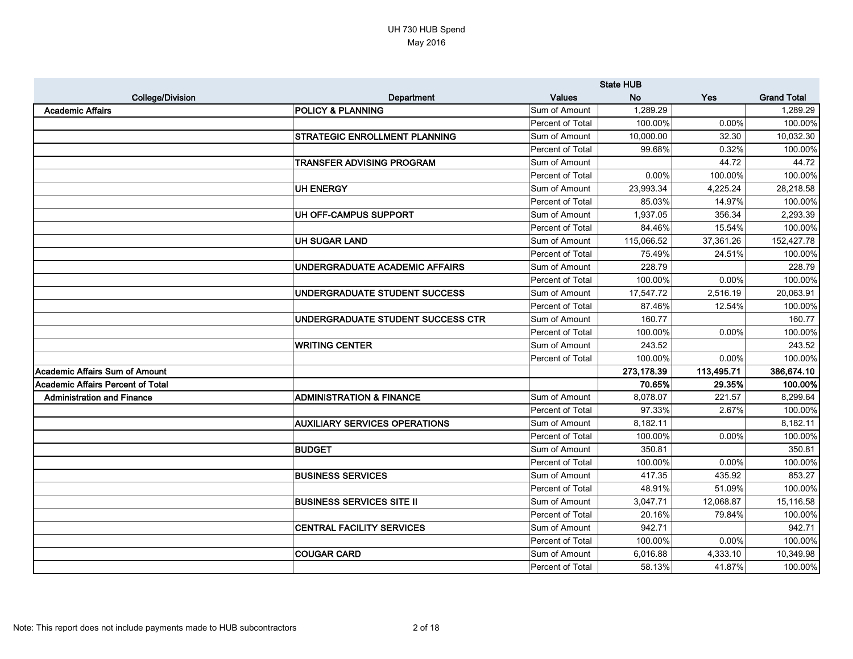|                                          |                                      | <b>State HUB</b> |            |            |                    |
|------------------------------------------|--------------------------------------|------------------|------------|------------|--------------------|
| <b>College/Division</b>                  | Department                           | <b>Values</b>    | <b>No</b>  | Yes        | <b>Grand Total</b> |
| <b>Academic Affairs</b>                  | <b>POLICY &amp; PLANNING</b>         | Sum of Amount    | 1,289.29   |            | 1,289.29           |
|                                          |                                      | Percent of Total | 100.00%    | 0.00%      | 100.00%            |
|                                          | <b>STRATEGIC ENROLLMENT PLANNING</b> | Sum of Amount    | 10,000.00  | 32.30      | 10,032.30          |
|                                          |                                      | Percent of Total | 99.68%     | 0.32%      | 100.00%            |
|                                          | TRANSFER ADVISING PROGRAM            | Sum of Amount    |            | 44.72      | 44.72              |
|                                          |                                      | Percent of Total | 0.00%      | 100.00%    | 100.00%            |
|                                          | <b>UH ENERGY</b>                     | Sum of Amount    | 23,993.34  | 4,225.24   | 28,218.58          |
|                                          |                                      | Percent of Total | 85.03%     | 14.97%     | 100.00%            |
|                                          | UH OFF-CAMPUS SUPPORT                | Sum of Amount    | 1,937.05   | 356.34     | 2,293.39           |
|                                          |                                      | Percent of Total | 84.46%     | 15.54%     | 100.00%            |
|                                          | <b>UH SUGAR LAND</b>                 | Sum of Amount    | 115,066.52 | 37,361.26  | 152,427.78         |
|                                          |                                      | Percent of Total | 75.49%     | 24.51%     | 100.00%            |
|                                          | UNDERGRADUATE ACADEMIC AFFAIRS       | Sum of Amount    | 228.79     |            | 228.79             |
|                                          |                                      | Percent of Total | 100.00%    | 0.00%      | 100.00%            |
|                                          | UNDERGRADUATE STUDENT SUCCESS        | Sum of Amount    | 17,547.72  | 2,516.19   | 20,063.91          |
|                                          |                                      | Percent of Total | 87.46%     | 12.54%     | 100.00%            |
|                                          | UNDERGRADUATE STUDENT SUCCESS CTR    | Sum of Amount    | 160.77     |            | 160.77             |
|                                          |                                      | Percent of Total | 100.00%    | 0.00%      | 100.00%            |
|                                          | <b>WRITING CENTER</b>                | Sum of Amount    | 243.52     |            | 243.52             |
|                                          |                                      | Percent of Total | 100.00%    | 0.00%      | 100.00%            |
| Academic Affairs Sum of Amount           |                                      |                  | 273,178.39 | 113,495.71 | 386,674.10         |
| <b>Academic Affairs Percent of Total</b> |                                      |                  | 70.65%     | 29.35%     | 100.00%            |
| <b>Administration and Finance</b>        | <b>ADMINISTRATION &amp; FINANCE</b>  | Sum of Amount    | 8,078.07   | 221.57     | 8,299.64           |
|                                          |                                      | Percent of Total | 97.33%     | 2.67%      | 100.00%            |
|                                          | <b>AUXILIARY SERVICES OPERATIONS</b> | Sum of Amount    | 8,182.11   |            | 8,182.11           |
|                                          |                                      | Percent of Total | 100.00%    | 0.00%      | 100.00%            |
|                                          | <b>BUDGET</b>                        | Sum of Amount    | 350.81     |            | 350.81             |
|                                          |                                      | Percent of Total | 100.00%    | 0.00%      | 100.00%            |
|                                          | <b>BUSINESS SERVICES</b>             | Sum of Amount    | 417.35     | 435.92     | 853.27             |
|                                          |                                      | Percent of Total | 48.91%     | 51.09%     | 100.00%            |
|                                          | <b>BUSINESS SERVICES SITE II</b>     | Sum of Amount    | 3,047.71   | 12,068.87  | 15,116.58          |
|                                          |                                      | Percent of Total | 20.16%     | 79.84%     | 100.00%            |
|                                          | <b>CENTRAL FACILITY SERVICES</b>     | Sum of Amount    | 942.71     |            | 942.71             |
|                                          |                                      | Percent of Total | 100.00%    | 0.00%      | 100.00%            |
|                                          | <b>COUGAR CARD</b>                   | Sum of Amount    | 6,016.88   | 4,333.10   | 10,349.98          |
|                                          |                                      | Percent of Total | 58.13%     | 41.87%     | 100.00%            |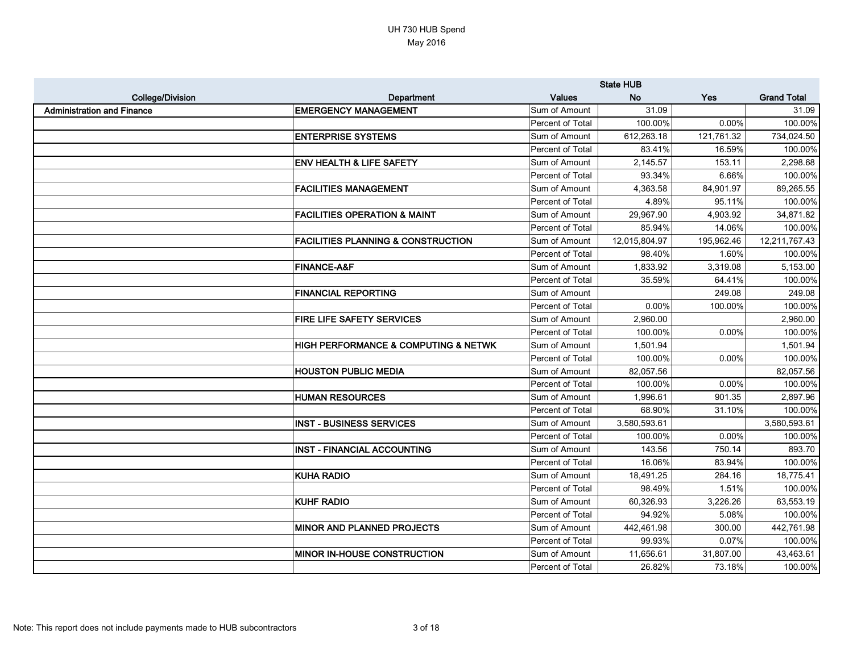|                                   |                                                     | <b>State HUB</b>        |               |            |                    |
|-----------------------------------|-----------------------------------------------------|-------------------------|---------------|------------|--------------------|
| <b>College/Division</b>           | Department                                          | <b>Values</b>           | <b>No</b>     | Yes        | <b>Grand Total</b> |
| <b>Administration and Finance</b> | <b>EMERGENCY MANAGEMENT</b>                         | Sum of Amount           | 31.09         |            | 31.09              |
|                                   |                                                     | Percent of Total        | 100.00%       | 0.00%      | 100.00%            |
|                                   | <b>ENTERPRISE SYSTEMS</b>                           | Sum of Amount           | 612,263.18    | 121,761.32 | 734,024.50         |
|                                   |                                                     | Percent of Total        | 83.41%        | 16.59%     | 100.00%            |
|                                   | <b>ENV HEALTH &amp; LIFE SAFETY</b>                 | Sum of Amount           | 2,145.57      | 153.11     | 2,298.68           |
|                                   |                                                     | Percent of Total        | 93.34%        | 6.66%      | 100.00%            |
|                                   | <b>FACILITIES MANAGEMENT</b>                        | Sum of Amount           | 4,363.58      | 84,901.97  | 89,265.55          |
|                                   |                                                     | Percent of Total        | 4.89%         | 95.11%     | 100.00%            |
|                                   | <b>FACILITIES OPERATION &amp; MAINT</b>             | Sum of Amount           | 29,967.90     | 4,903.92   | 34,871.82          |
|                                   |                                                     | Percent of Total        | 85.94%        | 14.06%     | 100.00%            |
|                                   | <b>FACILITIES PLANNING &amp; CONSTRUCTION</b>       | Sum of Amount           | 12,015,804.97 | 195,962.46 | 12,211,767.43      |
|                                   |                                                     | <b>Percent of Total</b> | 98.40%        | 1.60%      | 100.00%            |
|                                   | <b>FINANCE-A&amp;F</b>                              | Sum of Amount           | 1,833.92      | 3,319.08   | 5,153.00           |
|                                   |                                                     | Percent of Total        | 35.59%        | 64.41%     | 100.00%            |
|                                   | <b>FINANCIAL REPORTING</b>                          | Sum of Amount           |               | 249.08     | 249.08             |
|                                   |                                                     | Percent of Total        | 0.00%         | 100.00%    | 100.00%            |
|                                   | <b>FIRE LIFE SAFETY SERVICES</b>                    | Sum of Amount           | 2,960.00      |            | 2,960.00           |
|                                   |                                                     | Percent of Total        | 100.00%       | 0.00%      | 100.00%            |
|                                   | <b>HIGH PERFORMANCE &amp; COMPUTING &amp; NETWK</b> | Sum of Amount           | 1,501.94      |            | 1,501.94           |
|                                   |                                                     | Percent of Total        | 100.00%       | 0.00%      | 100.00%            |
|                                   | <b>HOUSTON PUBLIC MEDIA</b>                         | Sum of Amount           | 82,057.56     |            | 82,057.56          |
|                                   |                                                     | Percent of Total        | 100.00%       | 0.00%      | 100.00%            |
|                                   | <b>HUMAN RESOURCES</b>                              | Sum of Amount           | 1,996.61      | 901.35     | 2,897.96           |
|                                   |                                                     | Percent of Total        | 68.90%        | 31.10%     | 100.00%            |
|                                   | <b>INST - BUSINESS SERVICES</b>                     | Sum of Amount           | 3,580,593.61  |            | 3,580,593.61       |
|                                   |                                                     | Percent of Total        | 100.00%       | 0.00%      | 100.00%            |
|                                   | <b>INST - FINANCIAL ACCOUNTING</b>                  | Sum of Amount           | 143.56        | 750.14     | 893.70             |
|                                   |                                                     | Percent of Total        | 16.06%        | 83.94%     | 100.00%            |
|                                   | <b>KUHA RADIO</b>                                   | Sum of Amount           | 18,491.25     | 284.16     | 18,775.41          |
|                                   |                                                     | Percent of Total        | 98.49%        | 1.51%      | 100.00%            |
|                                   | <b>KUHF RADIO</b>                                   | Sum of Amount           | 60,326.93     | 3,226.26   | 63,553.19          |
|                                   |                                                     | Percent of Total        | 94.92%        | 5.08%      | 100.00%            |
|                                   | <b>MINOR AND PLANNED PROJECTS</b>                   | Sum of Amount           | 442,461.98    | 300.00     | 442,761.98         |
|                                   |                                                     | Percent of Total        | 99.93%        | 0.07%      | 100.00%            |
|                                   | <b>MINOR IN-HOUSE CONSTRUCTION</b>                  | Sum of Amount           | 11,656.61     | 31,807.00  | 43,463.61          |
|                                   |                                                     | Percent of Total        | 26.82%        | 73.18%     | 100.00%            |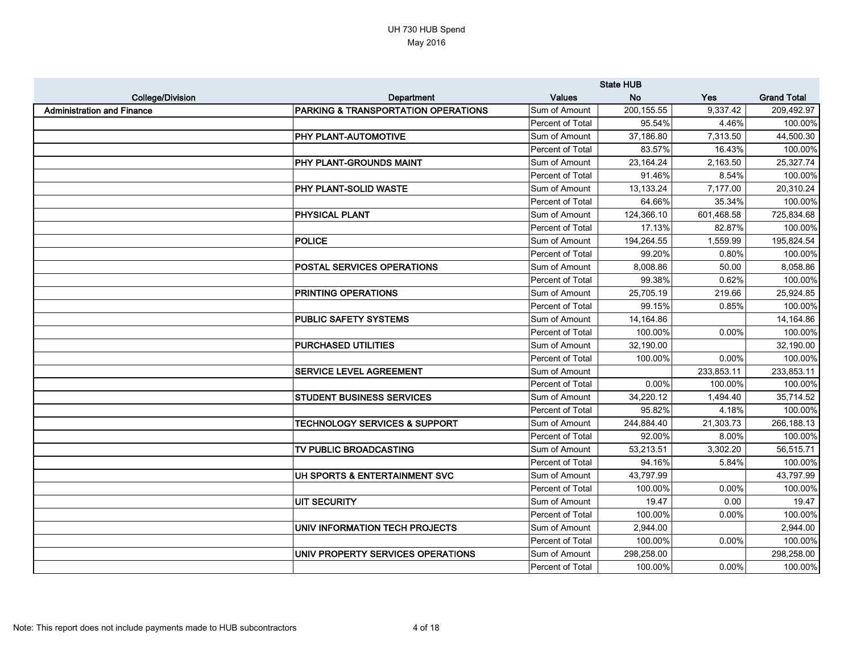|                                   |                                                | <b>State HUB</b> |             |            |                    |
|-----------------------------------|------------------------------------------------|------------------|-------------|------------|--------------------|
| <b>College/Division</b>           | Department                                     | <b>Values</b>    | <b>No</b>   | <b>Yes</b> | <b>Grand Total</b> |
| <b>Administration and Finance</b> | <b>PARKING &amp; TRANSPORTATION OPERATIONS</b> | Sum of Amount    | 200, 155.55 | 9,337.42   | 209,492.97         |
|                                   |                                                | Percent of Total | 95.54%      | 4.46%      | 100.00%            |
|                                   | PHY PLANT-AUTOMOTIVE                           | Sum of Amount    | 37,186.80   | 7,313.50   | 44,500.30          |
|                                   |                                                | Percent of Total | 83.57%      | 16.43%     | 100.00%            |
|                                   | PHY PLANT-GROUNDS MAINT                        | Sum of Amount    | 23,164.24   | 2,163.50   | 25,327.74          |
|                                   |                                                | Percent of Total | 91.46%      | 8.54%      | 100.00%            |
|                                   | <b>PHY PLANT-SOLID WASTE</b>                   | Sum of Amount    | 13,133.24   | 7,177.00   | 20,310.24          |
|                                   |                                                | Percent of Total | 64.66%      | 35.34%     | 100.00%            |
|                                   | <b>PHYSICAL PLANT</b>                          | Sum of Amount    | 124,366.10  | 601,468.58 | 725,834.68         |
|                                   |                                                | Percent of Total | 17.13%      | 82.87%     | 100.00%            |
|                                   | <b>POLICE</b>                                  | Sum of Amount    | 194,264.55  | 1,559.99   | 195,824.54         |
|                                   |                                                | Percent of Total | 99.20%      | 0.80%      | 100.00%            |
|                                   | <b>POSTAL SERVICES OPERATIONS</b>              | Sum of Amount    | 8,008.86    | 50.00      | 8,058.86           |
|                                   |                                                | Percent of Total | 99.38%      | 0.62%      | 100.00%            |
|                                   | <b>PRINTING OPERATIONS</b>                     | Sum of Amount    | 25,705.19   | 219.66     | 25,924.85          |
|                                   |                                                | Percent of Total | 99.15%      | 0.85%      | 100.00%            |
|                                   | <b>PUBLIC SAFETY SYSTEMS</b>                   | Sum of Amount    | 14,164.86   |            | 14,164.86          |
|                                   |                                                | Percent of Total | 100.00%     | 0.00%      | 100.00%            |
|                                   | PURCHASED UTILITIES                            | Sum of Amount    | 32,190.00   |            | 32,190.00          |
|                                   |                                                | Percent of Total | 100.00%     | 0.00%      | 100.00%            |
|                                   | <b>SERVICE LEVEL AGREEMENT</b>                 | Sum of Amount    |             | 233,853.11 | 233,853.11         |
|                                   |                                                | Percent of Total | 0.00%       | 100.00%    | 100.00%            |
|                                   | <b>STUDENT BUSINESS SERVICES</b>               | Sum of Amount    | 34,220.12   | 1,494.40   | 35,714.52          |
|                                   |                                                | Percent of Total | 95.82%      | 4.18%      | 100.00%            |
|                                   | <b>TECHNOLOGY SERVICES &amp; SUPPORT</b>       | Sum of Amount    | 244,884.40  | 21,303.73  | 266,188.13         |
|                                   |                                                | Percent of Total | 92.00%      | 8.00%      | 100.00%            |
|                                   | TV PUBLIC BROADCASTING                         | Sum of Amount    | 53,213.51   | 3,302.20   | 56,515.71          |
|                                   |                                                | Percent of Total | 94.16%      | 5.84%      | 100.00%            |
|                                   | UH SPORTS & ENTERTAINMENT SVC                  | Sum of Amount    | 43,797.99   |            | 43,797.99          |
|                                   |                                                | Percent of Total | 100.00%     | 0.00%      | 100.00%            |
|                                   | <b>UIT SECURITY</b>                            | Sum of Amount    | 19.47       | 0.00       | 19.47              |
|                                   |                                                | Percent of Total | 100.00%     | 0.00%      | 100.00%            |
|                                   | UNIV INFORMATION TECH PROJECTS                 | Sum of Amount    | 2,944.00    |            | 2,944.00           |
|                                   |                                                | Percent of Total | 100.00%     | 0.00%      | 100.00%            |
|                                   | UNIV PROPERTY SERVICES OPERATIONS              | Sum of Amount    | 298,258.00  |            | 298,258.00         |
|                                   |                                                | Percent of Total | 100.00%     | 0.00%      | 100.00%            |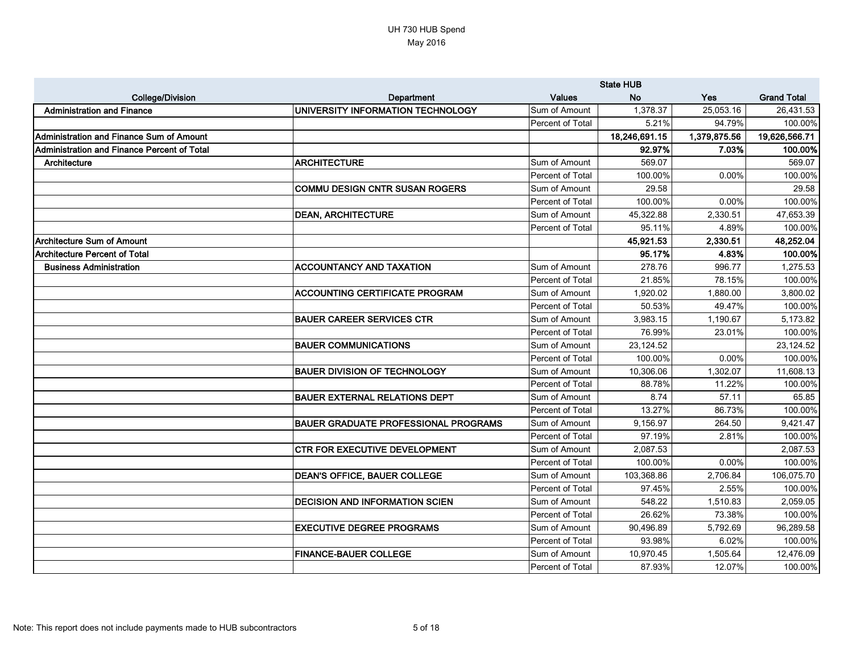|                                             |                                             |                  | <b>State HUB</b> |              |                    |
|---------------------------------------------|---------------------------------------------|------------------|------------------|--------------|--------------------|
| <b>College/Division</b>                     | Department                                  | <b>Values</b>    | <b>No</b>        | Yes          | <b>Grand Total</b> |
| <b>Administration and Finance</b>           | UNIVERSITY INFORMATION TECHNOLOGY           | Sum of Amount    | 1,378.37         | 25,053.16    | 26,431.53          |
|                                             |                                             | Percent of Total | 5.21%            | 94.79%       | 100.00%            |
| Administration and Finance Sum of Amount    |                                             |                  | 18,246,691.15    | 1,379,875.56 | 19,626,566.71      |
| Administration and Finance Percent of Total |                                             |                  | 92.97%           | 7.03%        | 100.00%            |
| Architecture                                | <b>ARCHITECTURE</b>                         | Sum of Amount    | 569.07           |              | 569.07             |
|                                             |                                             | Percent of Total | 100.00%          | 0.00%        | 100.00%            |
|                                             | <b>COMMU DESIGN CNTR SUSAN ROGERS</b>       | Sum of Amount    | 29.58            |              | 29.58              |
|                                             |                                             | Percent of Total | 100.00%          | 0.00%        | 100.00%            |
|                                             | <b>DEAN, ARCHITECTURE</b>                   | Sum of Amount    | 45,322.88        | 2,330.51     | 47,653.39          |
|                                             |                                             | Percent of Total | 95.11%           | 4.89%        | 100.00%            |
| <b>Architecture Sum of Amount</b>           |                                             |                  | 45,921.53        | 2,330.51     | 48,252.04          |
| <b>Architecture Percent of Total</b>        |                                             |                  | 95.17%           | 4.83%        | 100.00%            |
| <b>Business Administration</b>              | <b>ACCOUNTANCY AND TAXATION</b>             | Sum of Amount    | 278.76           | 996.77       | 1,275.53           |
|                                             |                                             | Percent of Total | 21.85%           | 78.15%       | 100.00%            |
|                                             | <b>ACCOUNTING CERTIFICATE PROGRAM</b>       | Sum of Amount    | 1,920.02         | 1,880.00     | 3,800.02           |
|                                             |                                             | Percent of Total | 50.53%           | 49.47%       | 100.00%            |
|                                             | <b>BAUER CAREER SERVICES CTR</b>            | Sum of Amount    | 3,983.15         | 1,190.67     | 5,173.82           |
|                                             |                                             | Percent of Total | 76.99%           | 23.01%       | 100.00%            |
|                                             | <b>BAUER COMMUNICATIONS</b>                 | Sum of Amount    | 23,124.52        |              | 23, 124.52         |
|                                             |                                             | Percent of Total | 100.00%          | 0.00%        | 100.00%            |
|                                             | <b>BAUER DIVISION OF TECHNOLOGY</b>         | Sum of Amount    | 10,306.06        | 1,302.07     | 11,608.13          |
|                                             |                                             | Percent of Total | 88.78%           | 11.22%       | 100.00%            |
|                                             | <b>BAUER EXTERNAL RELATIONS DEPT</b>        | Sum of Amount    | 8.74             | 57.11        | 65.85              |
|                                             |                                             | Percent of Total | 13.27%           | 86.73%       | 100.00%            |
|                                             | <b>BAUER GRADUATE PROFESSIONAL PROGRAMS</b> | Sum of Amount    | 9,156.97         | 264.50       | 9,421.47           |
|                                             |                                             | Percent of Total | 97.19%           | 2.81%        | 100.00%            |
|                                             | <b>CTR FOR EXECUTIVE DEVELOPMENT</b>        | Sum of Amount    | 2,087.53         |              | 2,087.53           |
|                                             |                                             | Percent of Total | 100.00%          | 0.00%        | 100.00%            |
|                                             | <b>DEAN'S OFFICE, BAUER COLLEGE</b>         | Sum of Amount    | 103,368.86       | 2,706.84     | 106,075.70         |
|                                             |                                             | Percent of Total | 97.45%           | 2.55%        | 100.00%            |
|                                             | <b>DECISION AND INFORMATION SCIEN</b>       | Sum of Amount    | 548.22           | 1,510.83     | 2,059.05           |
|                                             |                                             | Percent of Total | 26.62%           | 73.38%       | 100.00%            |
|                                             | <b>EXECUTIVE DEGREE PROGRAMS</b>            | Sum of Amount    | 90,496.89        | 5,792.69     | 96,289.58          |
|                                             |                                             | Percent of Total | 93.98%           | 6.02%        | 100.00%            |
|                                             | <b>FINANCE-BAUER COLLEGE</b>                | Sum of Amount    | 10,970.45        | 1,505.64     | 12,476.09          |
|                                             |                                             | Percent of Total | 87.93%           | 12.07%       | 100.00%            |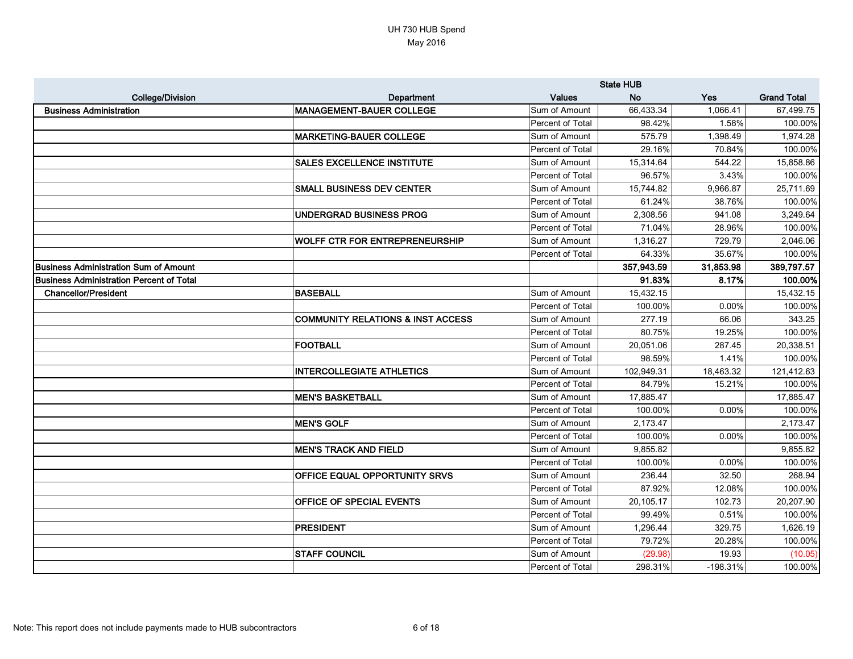|                                                 |                                              |                  | <b>State HUB</b> |            |                    |
|-------------------------------------------------|----------------------------------------------|------------------|------------------|------------|--------------------|
| <b>College/Division</b>                         | Department                                   | <b>Values</b>    | <b>No</b>        | Yes        | <b>Grand Total</b> |
| <b>Business Administration</b>                  | <b>MANAGEMENT-BAUER COLLEGE</b>              | Sum of Amount    | 66,433.34        | 1,066.41   | 67,499.75          |
|                                                 |                                              | Percent of Total | 98.42%           | 1.58%      | 100.00%            |
|                                                 | <b>MARKETING-BAUER COLLEGE</b>               | Sum of Amount    | 575.79           | 1,398.49   | 1,974.28           |
|                                                 |                                              | Percent of Total | 29.16%           | 70.84%     | 100.00%            |
|                                                 | <b>SALES EXCELLENCE INSTITUTE</b>            | Sum of Amount    | 15,314.64        | 544.22     | 15,858.86          |
|                                                 |                                              | Percent of Total | 96.57%           | 3.43%      | 100.00%            |
|                                                 | <b>SMALL BUSINESS DEV CENTER</b>             | Sum of Amount    | 15,744.82        | 9,966.87   | 25,711.69          |
|                                                 |                                              | Percent of Total | 61.24%           | 38.76%     | 100.00%            |
|                                                 | UNDERGRAD BUSINESS PROG                      | Sum of Amount    | 2,308.56         | 941.08     | 3,249.64           |
|                                                 |                                              | Percent of Total | 71.04%           | 28.96%     | 100.00%            |
|                                                 | <b>WOLFF CTR FOR ENTREPRENEURSHIP</b>        | Sum of Amount    | 1,316.27         | 729.79     | 2,046.06           |
|                                                 |                                              | Percent of Total | 64.33%           | 35.67%     | 100.00%            |
| Business Administration Sum of Amount           |                                              |                  | 357,943.59       | 31,853.98  | 389,797.57         |
| <b>Business Administration Percent of Total</b> |                                              |                  | 91.83%           | 8.17%      | 100.00%            |
| <b>Chancellor/President</b>                     | <b>BASEBALL</b>                              | Sum of Amount    | 15,432.15        |            | 15,432.15          |
|                                                 |                                              | Percent of Total | 100.00%          | 0.00%      | 100.00%            |
|                                                 | <b>COMMUNITY RELATIONS &amp; INST ACCESS</b> | Sum of Amount    | 277.19           | 66.06      | 343.25             |
|                                                 |                                              | Percent of Total | 80.75%           | 19.25%     | 100.00%            |
|                                                 | <b>FOOTBALL</b>                              | Sum of Amount    | 20,051.06        | 287.45     | 20,338.51          |
|                                                 |                                              | Percent of Total | 98.59%           | 1.41%      | 100.00%            |
|                                                 | <b>INTERCOLLEGIATE ATHLETICS</b>             | Sum of Amount    | 102,949.31       | 18,463.32  | 121,412.63         |
|                                                 |                                              | Percent of Total | 84.79%           | 15.21%     | 100.00%            |
|                                                 | <b>MEN'S BASKETBALL</b>                      | Sum of Amount    | 17,885.47        |            | 17,885.47          |
|                                                 |                                              | Percent of Total | 100.00%          | 0.00%      | 100.00%            |
|                                                 | <b>MEN'S GOLF</b>                            | Sum of Amount    | 2,173.47         |            | 2,173.47           |
|                                                 |                                              | Percent of Total | 100.00%          | 0.00%      | 100.00%            |
|                                                 | <b>MEN'S TRACK AND FIELD</b>                 | Sum of Amount    | 9,855.82         |            | 9,855.82           |
|                                                 |                                              | Percent of Total | 100.00%          | 0.00%      | 100.00%            |
|                                                 | <b>OFFICE EQUAL OPPORTUNITY SRVS</b>         | Sum of Amount    | 236.44           | 32.50      | 268.94             |
|                                                 |                                              | Percent of Total | 87.92%           | 12.08%     | 100.00%            |
|                                                 | <b>OFFICE OF SPECIAL EVENTS</b>              | Sum of Amount    | 20,105.17        | 102.73     | 20,207.90          |
|                                                 |                                              | Percent of Total | 99.49%           | 0.51%      | 100.00%            |
|                                                 | PRESIDENT                                    | Sum of Amount    | 1,296.44         | 329.75     | 1,626.19           |
|                                                 |                                              | Percent of Total | 79.72%           | 20.28%     | 100.00%            |
|                                                 | <b>STAFF COUNCIL</b>                         | Sum of Amount    | (29.98)          | 19.93      | (10.05)            |
|                                                 |                                              | Percent of Total | 298.31%          | $-198.31%$ | 100.00%            |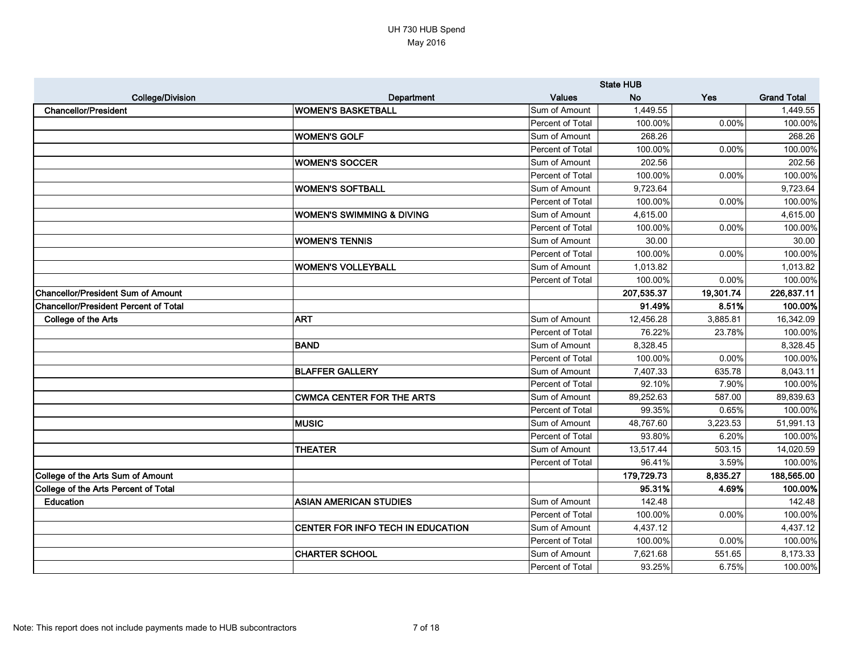|                                              |                                      |                         | <b>State HUB</b> |           |                    |
|----------------------------------------------|--------------------------------------|-------------------------|------------------|-----------|--------------------|
| <b>College/Division</b>                      | <b>Department</b>                    | <b>Values</b>           | <b>No</b>        | Yes       | <b>Grand Total</b> |
| <b>Chancellor/President</b>                  | <b>WOMEN'S BASKETBALL</b>            | Sum of Amount           | 1,449.55         |           | 1,449.55           |
|                                              |                                      | Percent of Total        | 100.00%          | 0.00%     | 100.00%            |
|                                              | <b>WOMEN'S GOLF</b>                  | Sum of Amount           | 268.26           |           | 268.26             |
|                                              |                                      | Percent of Total        | 100.00%          | 0.00%     | 100.00%            |
|                                              | <b>WOMEN'S SOCCER</b>                | Sum of Amount           | 202.56           |           | 202.56             |
|                                              |                                      | Percent of Total        | 100.00%          | 0.00%     | 100.00%            |
|                                              | <b>WOMEN'S SOFTBALL</b>              | Sum of Amount           | 9,723.64         |           | 9,723.64           |
|                                              |                                      | Percent of Total        | 100.00%          | 0.00%     | 100.00%            |
|                                              | <b>WOMEN'S SWIMMING &amp; DIVING</b> | Sum of Amount           | 4,615.00         |           | 4,615.00           |
|                                              |                                      | Percent of Total        | 100.00%          | 0.00%     | 100.00%            |
|                                              | <b>WOMEN'S TENNIS</b>                | Sum of Amount           | 30.00            |           | 30.00              |
|                                              |                                      | Percent of Total        | 100.00%          | 0.00%     | 100.00%            |
|                                              | <b>WOMEN'S VOLLEYBALL</b>            | Sum of Amount           | 1,013.82         |           | 1,013.82           |
|                                              |                                      | <b>Percent of Total</b> | 100.00%          | 0.00%     | 100.00%            |
| <b>Chancellor/President Sum of Amount</b>    |                                      |                         | 207,535.37       | 19,301.74 | 226,837.11         |
| <b>Chancellor/President Percent of Total</b> |                                      |                         | 91.49%           | 8.51%     | 100.00%            |
| <b>College of the Arts</b>                   | <b>ART</b>                           | Sum of Amount           | 12,456.28        | 3,885.81  | 16,342.09          |
|                                              |                                      | Percent of Total        | 76.22%           | 23.78%    | 100.00%            |
|                                              | <b>BAND</b>                          | Sum of Amount           | 8,328.45         |           | 8,328.45           |
|                                              |                                      | Percent of Total        | 100.00%          | 0.00%     | 100.00%            |
|                                              | <b>BLAFFER GALLERY</b>               | Sum of Amount           | 7,407.33         | 635.78    | 8,043.11           |
|                                              |                                      | Percent of Total        | 92.10%           | 7.90%     | 100.00%            |
|                                              | <b>CWMCA CENTER FOR THE ARTS</b>     | Sum of Amount           | 89,252.63        | 587.00    | 89,839.63          |
|                                              |                                      | Percent of Total        | 99.35%           | 0.65%     | 100.00%            |
|                                              | <b>MUSIC</b>                         | Sum of Amount           | 48,767.60        | 3,223.53  | 51,991.13          |
|                                              |                                      | Percent of Total        | 93.80%           | 6.20%     | 100.00%            |
|                                              | <b>THEATER</b>                       | Sum of Amount           | 13,517.44        | 503.15    | 14,020.59          |
|                                              |                                      | Percent of Total        | 96.41%           | 3.59%     | 100.00%            |
| College of the Arts Sum of Amount            |                                      |                         | 179,729.73       | 8,835.27  | 188,565.00         |
| College of the Arts Percent of Total         |                                      |                         | 95.31%           | 4.69%     | 100.00%            |
| Education                                    | <b>ASIAN AMERICAN STUDIES</b>        | Sum of Amount           | 142.48           |           | 142.48             |
|                                              |                                      | Percent of Total        | 100.00%          | 0.00%     | 100.00%            |
|                                              | CENTER FOR INFO TECH IN EDUCATION    | Sum of Amount           | 4,437.12         |           | 4,437.12           |
|                                              |                                      | Percent of Total        | 100.00%          | 0.00%     | 100.00%            |
|                                              | <b>CHARTER SCHOOL</b>                | Sum of Amount           | 7,621.68         | 551.65    | 8,173.33           |
|                                              |                                      | Percent of Total        | 93.25%           | 6.75%     | 100.00%            |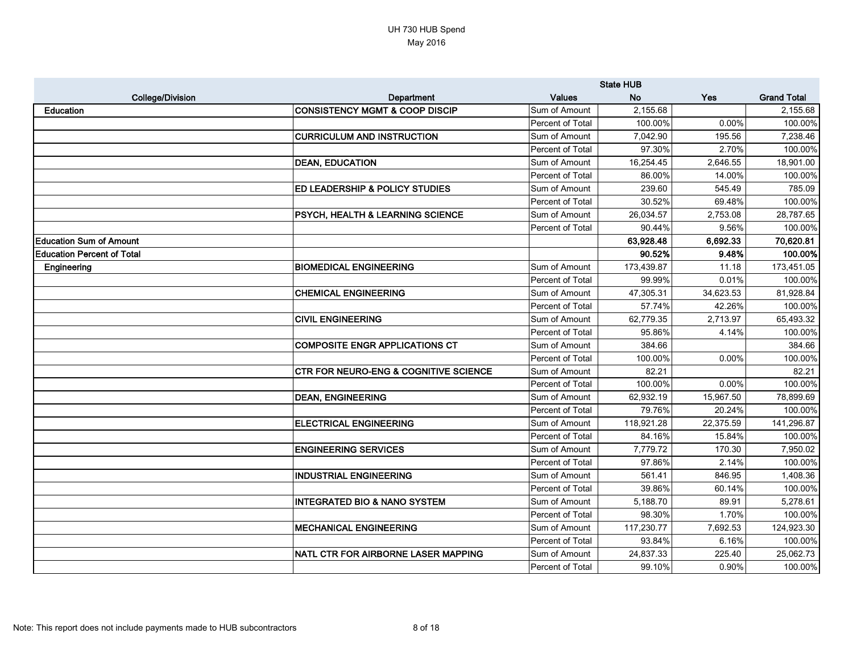|                                   |                                                  | <b>State HUB</b> |            |           |                    |
|-----------------------------------|--------------------------------------------------|------------------|------------|-----------|--------------------|
| <b>College/Division</b>           | <b>Department</b>                                | <b>Values</b>    | <b>No</b>  | Yes       | <b>Grand Total</b> |
| Education                         | <b>CONSISTENCY MGMT &amp; COOP DISCIP</b>        | Sum of Amount    | 2,155.68   |           | 2,155.68           |
|                                   |                                                  | Percent of Total | 100.00%    | 0.00%     | 100.00%            |
|                                   | <b>CURRICULUM AND INSTRUCTION</b>                | Sum of Amount    | 7,042.90   | 195.56    | 7,238.46           |
|                                   |                                                  | Percent of Total | 97.30%     | 2.70%     | 100.00%            |
|                                   | <b>DEAN, EDUCATION</b>                           | Sum of Amount    | 16,254.45  | 2,646.55  | 18,901.00          |
|                                   |                                                  | Percent of Total | 86.00%     | 14.00%    | 100.00%            |
|                                   | ED LEADERSHIP & POLICY STUDIES                   | Sum of Amount    | 239.60     | 545.49    | 785.09             |
|                                   |                                                  | Percent of Total | 30.52%     | 69.48%    | 100.00%            |
|                                   | <b>PSYCH, HEALTH &amp; LEARNING SCIENCE</b>      | Sum of Amount    | 26,034.57  | 2,753.08  | 28,787.65          |
|                                   |                                                  | Percent of Total | 90.44%     | 9.56%     | 100.00%            |
| <b>Education Sum of Amount</b>    |                                                  |                  | 63,928.48  | 6,692.33  | 70,620.81          |
| <b>Education Percent of Total</b> |                                                  |                  | 90.52%     | 9.48%     | 100.00%            |
| Engineering                       | <b>BIOMEDICAL ENGINEERING</b>                    | Sum of Amount    | 173,439.87 | 11.18     | 173,451.05         |
|                                   |                                                  | Percent of Total | 99.99%     | 0.01%     | 100.00%            |
|                                   | <b>CHEMICAL ENGINEERING</b>                      | Sum of Amount    | 47,305.31  | 34,623.53 | 81,928.84          |
|                                   |                                                  | Percent of Total | 57.74%     | 42.26%    | 100.00%            |
|                                   | <b>CIVIL ENGINEERING</b>                         | Sum of Amount    | 62,779.35  | 2,713.97  | 65,493.32          |
|                                   |                                                  | Percent of Total | 95.86%     | 4.14%     | 100.00%            |
|                                   | <b>COMPOSITE ENGR APPLICATIONS CT</b>            | Sum of Amount    | 384.66     |           | 384.66             |
|                                   |                                                  | Percent of Total | 100.00%    | 0.00%     | 100.00%            |
|                                   | <b>CTR FOR NEURO-ENG &amp; COGNITIVE SCIENCE</b> | Sum of Amount    | 82.21      |           | 82.21              |
|                                   |                                                  | Percent of Total | 100.00%    | 0.00%     | 100.00%            |
|                                   | <b>DEAN, ENGINEERING</b>                         | Sum of Amount    | 62,932.19  | 15,967.50 | 78,899.69          |
|                                   |                                                  | Percent of Total | 79.76%     | 20.24%    | 100.00%            |
|                                   | <b>ELECTRICAL ENGINEERING</b>                    | Sum of Amount    | 118,921.28 | 22,375.59 | 141,296.87         |
|                                   |                                                  | Percent of Total | 84.16%     | 15.84%    | 100.00%            |
|                                   | <b>ENGINEERING SERVICES</b>                      | Sum of Amount    | 7,779.72   | 170.30    | 7,950.02           |
|                                   |                                                  | Percent of Total | 97.86%     | 2.14%     | 100.00%            |
|                                   | <b>INDUSTRIAL ENGINEERING</b>                    | Sum of Amount    | 561.41     | 846.95    | 1,408.36           |
|                                   |                                                  | Percent of Total | 39.86%     | 60.14%    | 100.00%            |
|                                   | <b>INTEGRATED BIO &amp; NANO SYSTEM</b>          | Sum of Amount    | 5,188.70   | 89.91     | 5,278.61           |
|                                   |                                                  | Percent of Total | 98.30%     | 1.70%     | 100.00%            |
|                                   | <b>MECHANICAL ENGINEERING</b>                    | Sum of Amount    | 117,230.77 | 7,692.53  | 124,923.30         |
|                                   |                                                  | Percent of Total | 93.84%     | 6.16%     | 100.00%            |
|                                   | NATL CTR FOR AIRBORNE LASER MAPPING              | Sum of Amount    | 24,837.33  | 225.40    | 25,062.73          |
|                                   |                                                  | Percent of Total | 99.10%     | 0.90%     | 100.00%            |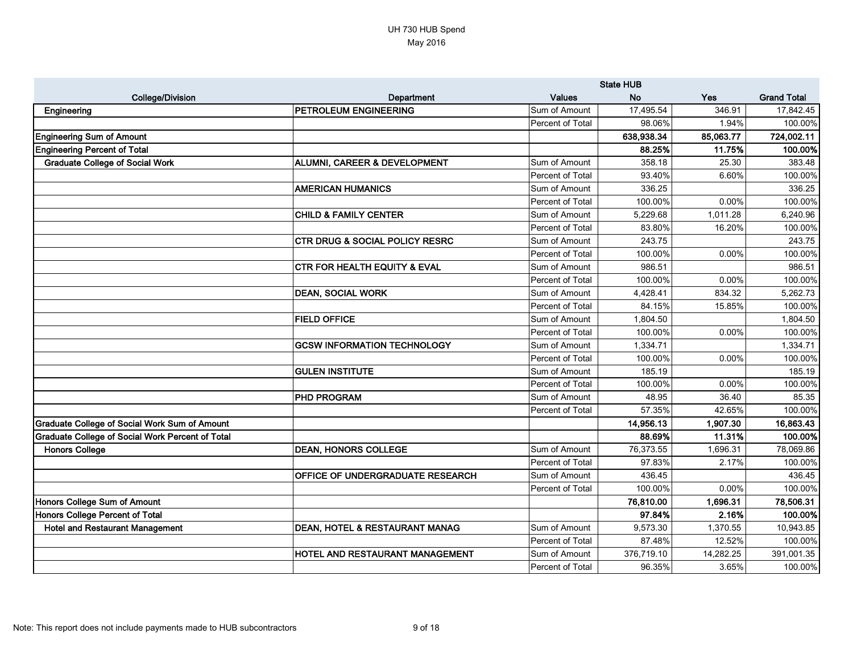|                                                         |                                           |                  | <b>State HUB</b> |           |                    |
|---------------------------------------------------------|-------------------------------------------|------------------|------------------|-----------|--------------------|
| <b>College/Division</b>                                 | <b>Department</b>                         | <b>Values</b>    | <b>No</b>        | Yes       | <b>Grand Total</b> |
| Engineering                                             | <b>PETROLEUM ENGINEERING</b>              | Sum of Amount    | 17,495.54        | 346.91    | 17,842.45          |
|                                                         |                                           | Percent of Total | 98.06%           | 1.94%     | 100.00%            |
| <b>Engineering Sum of Amount</b>                        |                                           |                  | 638,938.34       | 85,063.77 | 724,002.11         |
| <b>Engineering Percent of Total</b>                     |                                           |                  | 88.25%           | 11.75%    | 100.00%            |
| <b>Graduate College of Social Work</b>                  | <b>ALUMNI, CAREER &amp; DEVELOPMENT</b>   | Sum of Amount    | 358.18           | 25.30     | 383.48             |
|                                                         |                                           | Percent of Total | 93.40%           | 6.60%     | 100.00%            |
|                                                         | <b>AMERICAN HUMANICS</b>                  | Sum of Amount    | 336.25           |           | 336.25             |
|                                                         |                                           | Percent of Total | 100.00%          | 0.00%     | 100.00%            |
|                                                         | <b>CHILD &amp; FAMILY CENTER</b>          | Sum of Amount    | 5,229.68         | 1,011.28  | 6,240.96           |
|                                                         |                                           | Percent of Total | 83.80%           | 16.20%    | 100.00%            |
|                                                         | <b>CTR DRUG &amp; SOCIAL POLICY RESRC</b> | Sum of Amount    | 243.75           |           | 243.75             |
|                                                         |                                           | Percent of Total | 100.00%          | 0.00%     | 100.00%            |
|                                                         | <b>CTR FOR HEALTH EQUITY &amp; EVAL</b>   | Sum of Amount    | 986.51           |           | 986.51             |
|                                                         |                                           | Percent of Total | 100.00%          | 0.00%     | 100.00%            |
|                                                         | <b>DEAN, SOCIAL WORK</b>                  | Sum of Amount    | 4,428.41         | 834.32    | 5,262.73           |
|                                                         |                                           | Percent of Total | 84.15%           | 15.85%    | 100.00%            |
|                                                         | <b>FIELD OFFICE</b>                       | Sum of Amount    | 1,804.50         |           | 1,804.50           |
|                                                         |                                           | Percent of Total | 100.00%          | 0.00%     | 100.00%            |
|                                                         | <b>GCSW INFORMATION TECHNOLOGY</b>        | Sum of Amount    | 1,334.71         |           | 1,334.71           |
|                                                         |                                           | Percent of Total | 100.00%          | 0.00%     | 100.00%            |
|                                                         | <b>GULEN INSTITUTE</b>                    | Sum of Amount    | 185.19           |           | 185.19             |
|                                                         |                                           | Percent of Total | 100.00%          | 0.00%     | 100.00%            |
|                                                         | <b>PHD PROGRAM</b>                        | Sum of Amount    | 48.95            | 36.40     | 85.35              |
|                                                         |                                           | Percent of Total | 57.35%           | 42.65%    | 100.00%            |
| <b>Graduate College of Social Work Sum of Amount</b>    |                                           |                  | 14,956.13        | 1,907.30  | 16,863.43          |
| <b>Graduate College of Social Work Percent of Total</b> |                                           |                  | 88.69%           | 11.31%    | 100.00%            |
| <b>Honors College</b>                                   | <b>DEAN, HONORS COLLEGE</b>               | Sum of Amount    | 76,373.55        | 1,696.31  | 78,069.86          |
|                                                         |                                           | Percent of Total | 97.83%           | 2.17%     | 100.00%            |
|                                                         | <b>OFFICE OF UNDERGRADUATE RESEARCH</b>   | Sum of Amount    | 436.45           |           | 436.45             |
|                                                         |                                           | Percent of Total | 100.00%          | 0.00%     | 100.00%            |
| Honors College Sum of Amount                            |                                           |                  | 76,810.00        | 1,696.31  | 78,506.31          |
| Honors College Percent of Total                         |                                           |                  | 97.84%           | 2.16%     | 100.00%            |
| <b>Hotel and Restaurant Management</b>                  | <b>DEAN, HOTEL &amp; RESTAURANT MANAG</b> | Sum of Amount    | 9,573.30         | 1,370.55  | 10,943.85          |
|                                                         |                                           | Percent of Total | 87.48%           | 12.52%    | 100.00%            |
|                                                         | <b>HOTEL AND RESTAURANT MANAGEMENT</b>    | Sum of Amount    | 376,719.10       | 14,282.25 | 391,001.35         |
|                                                         |                                           | Percent of Total | 96.35%           | 3.65%     | 100.00%            |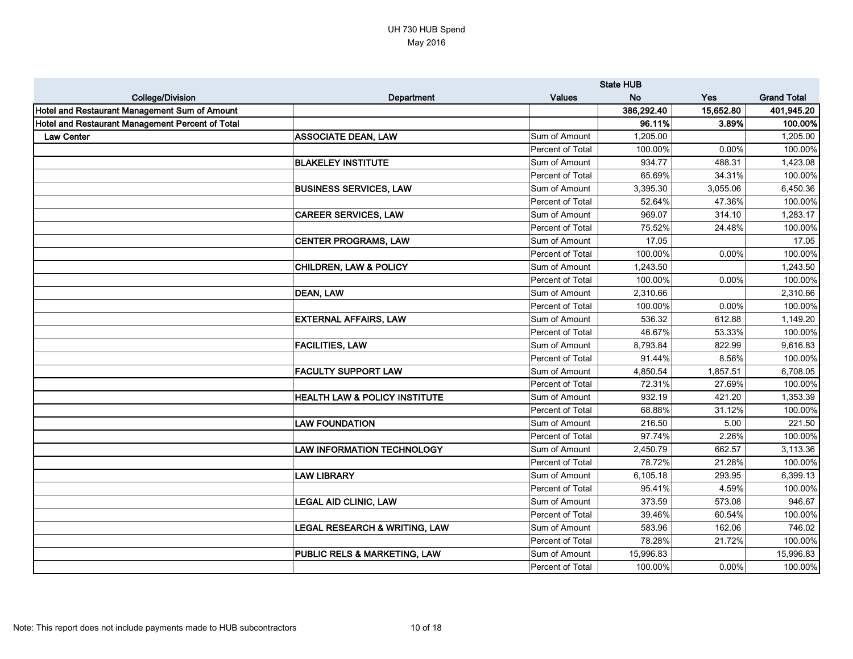|                                                  |                                          |                  | <b>State HUB</b> |           |                    |  |
|--------------------------------------------------|------------------------------------------|------------------|------------------|-----------|--------------------|--|
| <b>College/Division</b>                          | <b>Department</b>                        | <b>Values</b>    | <b>No</b>        | Yes       | <b>Grand Total</b> |  |
| Hotel and Restaurant Management Sum of Amount    |                                          |                  | 386,292.40       | 15,652.80 | 401,945.20         |  |
| Hotel and Restaurant Management Percent of Total |                                          |                  | 96.11%           | 3.89%     | 100.00%            |  |
| <b>Law Center</b>                                | <b>ASSOCIATE DEAN, LAW</b>               | Sum of Amount    | 1,205.00         |           | 1,205.00           |  |
|                                                  |                                          | Percent of Total | 100.00%          | 0.00%     | 100.00%            |  |
|                                                  | <b>BLAKELEY INSTITUTE</b>                | Sum of Amount    | 934.77           | 488.31    | 1,423.08           |  |
|                                                  |                                          | Percent of Total | 65.69%           | 34.31%    | 100.00%            |  |
|                                                  | <b>BUSINESS SERVICES, LAW</b>            | Sum of Amount    | 3,395.30         | 3,055.06  | 6,450.36           |  |
|                                                  |                                          | Percent of Total | 52.64%           | 47.36%    | 100.00%            |  |
|                                                  | <b>CAREER SERVICES, LAW</b>              | Sum of Amount    | 969.07           | 314.10    | 1,283.17           |  |
|                                                  |                                          | Percent of Total | 75.52%           | 24.48%    | 100.00%            |  |
|                                                  | <b>CENTER PROGRAMS, LAW</b>              | Sum of Amount    | 17.05            |           | 17.05              |  |
|                                                  |                                          | Percent of Total | 100.00%          | 0.00%     | 100.00%            |  |
|                                                  | <b>CHILDREN, LAW &amp; POLICY</b>        | Sum of Amount    | 1,243.50         |           | 1,243.50           |  |
|                                                  |                                          | Percent of Total | 100.00%          | 0.00%     | 100.00%            |  |
|                                                  | <b>DEAN, LAW</b>                         | Sum of Amount    | 2,310.66         |           | 2,310.66           |  |
|                                                  |                                          | Percent of Total | 100.00%          | 0.00%     | 100.00%            |  |
|                                                  | <b>EXTERNAL AFFAIRS, LAW</b>             | Sum of Amount    | 536.32           | 612.88    | 1,149.20           |  |
|                                                  |                                          | Percent of Total | 46.67%           | 53.33%    | 100.00%            |  |
|                                                  | <b>FACILITIES, LAW</b>                   | Sum of Amount    | 8,793.84         | 822.99    | 9,616.83           |  |
|                                                  |                                          | Percent of Total | 91.44%           | 8.56%     | 100.00%            |  |
|                                                  | <b>FACULTY SUPPORT LAW</b>               | Sum of Amount    | 4,850.54         | 1,857.51  | 6,708.05           |  |
|                                                  |                                          | Percent of Total | 72.31%           | 27.69%    | 100.00%            |  |
|                                                  | HEALTH LAW & POLICY INSTITUTE            | Sum of Amount    | 932.19           | 421.20    | 1,353.39           |  |
|                                                  |                                          | Percent of Total | 68.88%           | 31.12%    | 100.00%            |  |
|                                                  | <b>LAW FOUNDATION</b>                    | Sum of Amount    | 216.50           | 5.00      | 221.50             |  |
|                                                  |                                          | Percent of Total | 97.74%           | 2.26%     | 100.00%            |  |
|                                                  | <b>LAW INFORMATION TECHNOLOGY</b>        | Sum of Amount    | 2,450.79         | 662.57    | 3,113.36           |  |
|                                                  |                                          | Percent of Total | 78.72%           | 21.28%    | 100.00%            |  |
|                                                  | <b>LAW LIBRARY</b>                       | Sum of Amount    | 6,105.18         | 293.95    | 6,399.13           |  |
|                                                  |                                          | Percent of Total | 95.41%           | 4.59%     | 100.00%            |  |
|                                                  | <b>LEGAL AID CLINIC, LAW</b>             | Sum of Amount    | 373.59           | 573.08    | 946.67             |  |
|                                                  |                                          | Percent of Total | 39.46%           | 60.54%    | 100.00%            |  |
|                                                  | <b>LEGAL RESEARCH &amp; WRITING, LAW</b> | Sum of Amount    | 583.96           | 162.06    | 746.02             |  |
|                                                  |                                          | Percent of Total | 78.28%           | 21.72%    | 100.00%            |  |
|                                                  | <b>PUBLIC RELS &amp; MARKETING, LAW</b>  | Sum of Amount    | 15,996.83        |           | 15,996.83          |  |
|                                                  |                                          | Percent of Total | 100.00%          | 0.00%     | 100.00%            |  |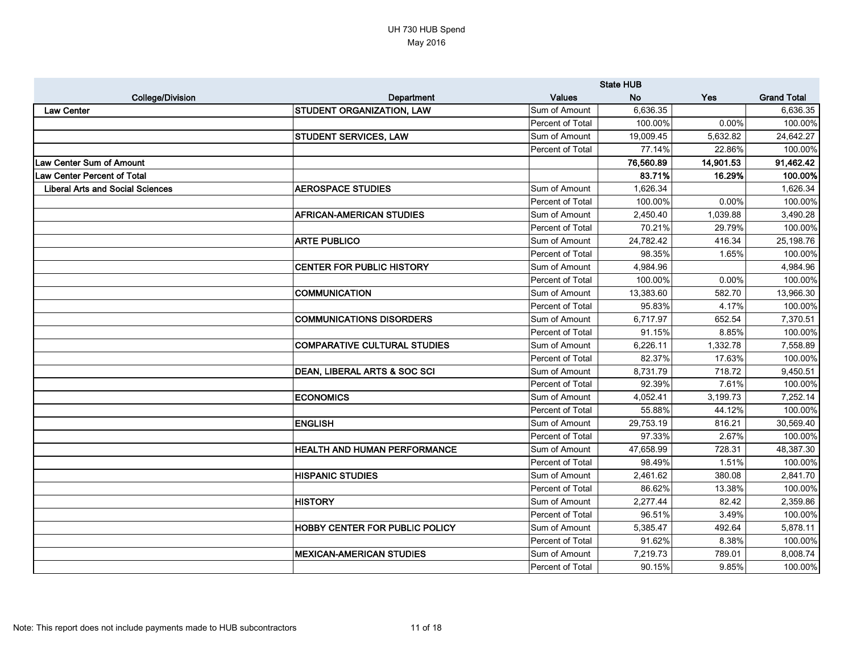|                                         |                                         | <b>State HUB</b> |           |           |                    |
|-----------------------------------------|-----------------------------------------|------------------|-----------|-----------|--------------------|
| <b>College/Division</b>                 | <b>Department</b>                       | <b>Values</b>    | <b>No</b> | Yes       | <b>Grand Total</b> |
| <b>Law Center</b>                       | <b>STUDENT ORGANIZATION, LAW</b>        | Sum of Amount    | 6,636.35  |           | 6,636.35           |
|                                         |                                         | Percent of Total | 100.00%   | 0.00%     | 100.00%            |
|                                         | <b>STUDENT SERVICES, LAW</b>            | Sum of Amount    | 19,009.45 | 5,632.82  | 24,642.27          |
|                                         |                                         | Percent of Total | 77.14%    | 22.86%    | 100.00%            |
| Law Center Sum of Amount                |                                         |                  | 76,560.89 | 14,901.53 | 91,462.42          |
| <b>Law Center Percent of Total</b>      |                                         |                  | 83.71%    | 16.29%    | 100.00%            |
| <b>Liberal Arts and Social Sciences</b> | <b>AEROSPACE STUDIES</b>                | Sum of Amount    | 1,626.34  |           | 1,626.34           |
|                                         |                                         | Percent of Total | 100.00%   | 0.00%     | 100.00%            |
|                                         | <b>AFRICAN-AMERICAN STUDIES</b>         | Sum of Amount    | 2,450.40  | 1,039.88  | 3,490.28           |
|                                         |                                         | Percent of Total | 70.21%    | 29.79%    | 100.00%            |
|                                         | <b>ARTE PUBLICO</b>                     | Sum of Amount    | 24,782.42 | 416.34    | 25,198.76          |
|                                         |                                         | Percent of Total | 98.35%    | 1.65%     | 100.00%            |
|                                         | <b>CENTER FOR PUBLIC HISTORY</b>        | Sum of Amount    | 4,984.96  |           | 4,984.96           |
|                                         |                                         | Percent of Total | 100.00%   | 0.00%     | 100.00%            |
|                                         | <b>COMMUNICATION</b>                    | Sum of Amount    | 13,383.60 | 582.70    | 13,966.30          |
|                                         |                                         | Percent of Total | 95.83%    | 4.17%     | 100.00%            |
|                                         | <b>COMMUNICATIONS DISORDERS</b>         | Sum of Amount    | 6,717.97  | 652.54    | 7,370.51           |
|                                         |                                         | Percent of Total | 91.15%    | 8.85%     | 100.00%            |
|                                         | <b>COMPARATIVE CULTURAL STUDIES</b>     | Sum of Amount    | 6,226.11  | 1,332.78  | 7,558.89           |
|                                         |                                         | Percent of Total | 82.37%    | 17.63%    | 100.00%            |
|                                         | <b>DEAN, LIBERAL ARTS &amp; SOC SCI</b> | Sum of Amount    | 8,731.79  | 718.72    | 9,450.51           |
|                                         |                                         | Percent of Total | 92.39%    | 7.61%     | 100.00%            |
|                                         | <b>ECONOMICS</b>                        | Sum of Amount    | 4,052.41  | 3,199.73  | 7,252.14           |
|                                         |                                         | Percent of Total | 55.88%    | 44.12%    | 100.00%            |
|                                         | <b>ENGLISH</b>                          | Sum of Amount    | 29,753.19 | 816.21    | 30,569.40          |
|                                         |                                         | Percent of Total | 97.33%    | 2.67%     | 100.00%            |
|                                         | <b>HEALTH AND HUMAN PERFORMANCE</b>     | Sum of Amount    | 47,658.99 | 728.31    | 48,387.30          |
|                                         |                                         | Percent of Total | 98.49%    | 1.51%     | 100.00%            |
|                                         | <b>HISPANIC STUDIES</b>                 | Sum of Amount    | 2,461.62  | 380.08    | 2,841.70           |
|                                         |                                         | Percent of Total | 86.62%    | 13.38%    | 100.00%            |
|                                         | <b>HISTORY</b>                          | Sum of Amount    | 2,277.44  | 82.42     | 2,359.86           |
|                                         |                                         | Percent of Total | 96.51%    | 3.49%     | 100.00%            |
|                                         | <b>HOBBY CENTER FOR PUBLIC POLICY</b>   | Sum of Amount    | 5,385.47  | 492.64    | 5,878.11           |
|                                         |                                         | Percent of Total | 91.62%    | 8.38%     | 100.00%            |
|                                         | <b>MEXICAN-AMERICAN STUDIES</b>         | Sum of Amount    | 7,219.73  | 789.01    | 8,008.74           |
|                                         |                                         | Percent of Total | 90.15%    | 9.85%     | 100.00%            |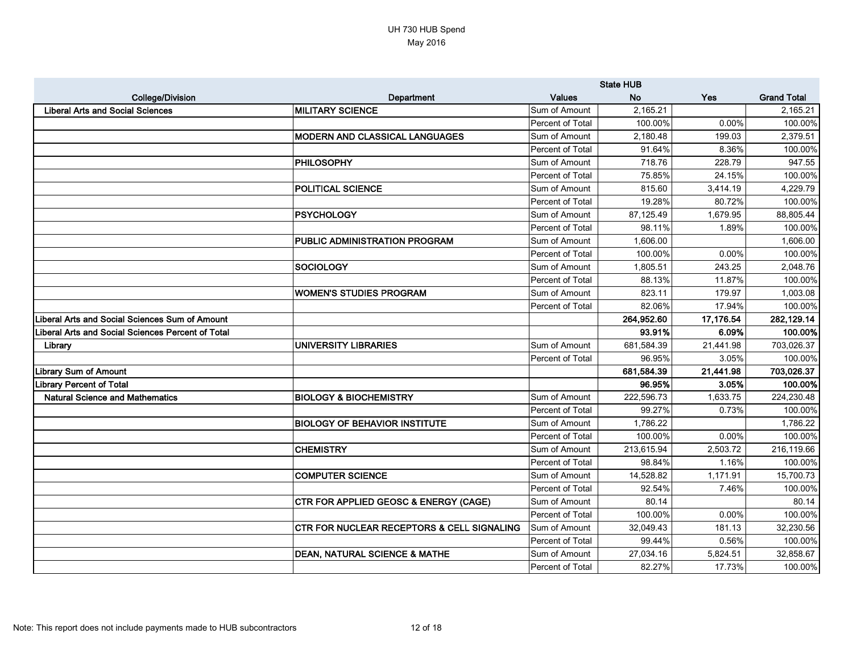|                                                       |                                                       | <b>State HUB</b> |            |           |                    |
|-------------------------------------------------------|-------------------------------------------------------|------------------|------------|-----------|--------------------|
| <b>College/Division</b>                               | Department                                            | <b>Values</b>    | <b>No</b>  | Yes       | <b>Grand Total</b> |
| <b>Liberal Arts and Social Sciences</b>               | <b>MILITARY SCIENCE</b>                               | Sum of Amount    | 2,165.21   |           | 2,165.21           |
|                                                       |                                                       | Percent of Total | 100.00%    | 0.00%     | 100.00%            |
|                                                       | <b>MODERN AND CLASSICAL LANGUAGES</b>                 | Sum of Amount    | 2,180.48   | 199.03    | 2,379.51           |
|                                                       |                                                       | Percent of Total | 91.64%     | 8.36%     | 100.00%            |
|                                                       | <b>PHILOSOPHY</b>                                     | Sum of Amount    | 718.76     | 228.79    | 947.55             |
|                                                       |                                                       | Percent of Total | 75.85%     | 24.15%    | 100.00%            |
|                                                       | <b>POLITICAL SCIENCE</b>                              | Sum of Amount    | 815.60     | 3,414.19  | 4,229.79           |
|                                                       |                                                       | Percent of Total | 19.28%     | 80.72%    | 100.00%            |
|                                                       | <b>PSYCHOLOGY</b>                                     | Sum of Amount    | 87,125.49  | 1,679.95  | 88,805.44          |
|                                                       |                                                       | Percent of Total | 98.11%     | 1.89%     | 100.00%            |
|                                                       | <b>PUBLIC ADMINISTRATION PROGRAM</b>                  | Sum of Amount    | 1,606.00   |           | 1,606.00           |
|                                                       |                                                       | Percent of Total | 100.00%    | 0.00%     | 100.00%            |
|                                                       | <b>SOCIOLOGY</b>                                      | Sum of Amount    | 1,805.51   | 243.25    | 2,048.76           |
|                                                       |                                                       | Percent of Total | 88.13%     | 11.87%    | 100.00%            |
|                                                       | <b>WOMEN'S STUDIES PROGRAM</b>                        | Sum of Amount    | 823.11     | 179.97    | 1,003.08           |
|                                                       |                                                       | Percent of Total | 82.06%     | 17.94%    | 100.00%            |
| <b>Liberal Arts and Social Sciences Sum of Amount</b> |                                                       |                  | 264,952.60 | 17,176.54 | 282,129.14         |
| Liberal Arts and Social Sciences Percent of Total     |                                                       |                  | 93.91%     | 6.09%     | 100.00%            |
| Library                                               | <b>UNIVERSITY LIBRARIES</b>                           | Sum of Amount    | 681,584.39 | 21,441.98 | 703,026.37         |
|                                                       |                                                       | Percent of Total | 96.95%     | 3.05%     | 100.00%            |
| <b>Library Sum of Amount</b>                          |                                                       |                  | 681,584.39 | 21,441.98 | 703,026.37         |
| <b>Library Percent of Total</b>                       |                                                       |                  | 96.95%     | 3.05%     | 100.00%            |
| <b>Natural Science and Mathematics</b>                | <b>BIOLOGY &amp; BIOCHEMISTRY</b>                     | Sum of Amount    | 222,596.73 | 1,633.75  | 224,230.48         |
|                                                       |                                                       | Percent of Total | 99.27%     | 0.73%     | 100.00%            |
|                                                       | <b>BIOLOGY OF BEHAVIOR INSTITUTE</b>                  | Sum of Amount    | 1,786.22   |           | 1,786.22           |
|                                                       |                                                       | Percent of Total | 100.00%    | 0.00%     | 100.00%            |
|                                                       | <b>CHEMISTRY</b>                                      | Sum of Amount    | 213,615.94 | 2,503.72  | 216,119.66         |
|                                                       |                                                       | Percent of Total | 98.84%     | 1.16%     | 100.00%            |
|                                                       | <b>COMPUTER SCIENCE</b>                               | Sum of Amount    | 14,528.82  | 1,171.91  | 15,700.73          |
|                                                       |                                                       | Percent of Total | 92.54%     | 7.46%     | 100.00%            |
|                                                       | <b>CTR FOR APPLIED GEOSC &amp; ENERGY (CAGE)</b>      | Sum of Amount    | 80.14      |           | 80.14              |
|                                                       |                                                       | Percent of Total | 100.00%    | 0.00%     | 100.00%            |
|                                                       | <b>CTR FOR NUCLEAR RECEPTORS &amp; CELL SIGNALING</b> | Sum of Amount    | 32,049.43  | 181.13    | 32,230.56          |
|                                                       |                                                       | Percent of Total | 99.44%     | 0.56%     | 100.00%            |
|                                                       | <b>DEAN, NATURAL SCIENCE &amp; MATHE</b>              | Sum of Amount    | 27,034.16  | 5,824.51  | 32,858.67          |
|                                                       |                                                       | Percent of Total | 82.27%     | 17.73%    | 100.00%            |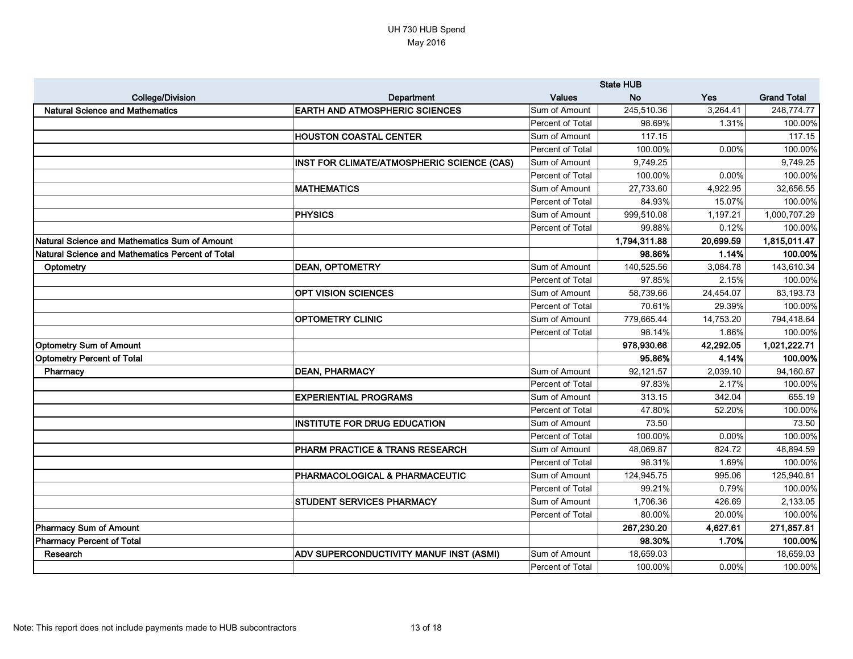|                                                  |                                            | <b>State HUB</b> |              |            |                    |
|--------------------------------------------------|--------------------------------------------|------------------|--------------|------------|--------------------|
| <b>College/Division</b>                          | Department                                 | <b>Values</b>    | <b>No</b>    | <b>Yes</b> | <b>Grand Total</b> |
| <b>Natural Science and Mathematics</b>           | <b>EARTH AND ATMOSPHERIC SCIENCES</b>      | Sum of Amount    | 245,510.36   | 3,264.41   | 248,774.77         |
|                                                  |                                            | Percent of Total | 98.69%       | 1.31%      | 100.00%            |
|                                                  | <b>HOUSTON COASTAL CENTER</b>              | Sum of Amount    | 117.15       |            | 117.15             |
|                                                  |                                            | Percent of Total | 100.00%      | 0.00%      | 100.00%            |
|                                                  | INST FOR CLIMATE/ATMOSPHERIC SCIENCE (CAS) | Sum of Amount    | 9,749.25     |            | 9,749.25           |
|                                                  |                                            | Percent of Total | 100.00%      | 0.00%      | 100.00%            |
|                                                  | <b>MATHEMATICS</b>                         | Sum of Amount    | 27,733.60    | 4,922.95   | 32,656.55          |
|                                                  |                                            | Percent of Total | 84.93%       | 15.07%     | 100.00%            |
|                                                  | <b>PHYSICS</b>                             | Sum of Amount    | 999,510.08   | 1,197.21   | 1,000,707.29       |
|                                                  |                                            | Percent of Total | 99.88%       | 0.12%      | 100.00%            |
| Natural Science and Mathematics Sum of Amount    |                                            |                  | 1,794,311.88 | 20,699.59  | 1,815,011.47       |
| Natural Science and Mathematics Percent of Total |                                            |                  | 98.86%       | 1.14%      | 100.00%            |
| Optometry                                        | <b>DEAN, OPTOMETRY</b>                     | Sum of Amount    | 140,525.56   | 3,084.78   | 143,610.34         |
|                                                  |                                            | Percent of Total | 97.85%       | 2.15%      | 100.00%            |
|                                                  | <b>OPT VISION SCIENCES</b>                 | Sum of Amount    | 58,739.66    | 24,454.07  | 83,193.73          |
|                                                  |                                            | Percent of Total | 70.61%       | 29.39%     | 100.00%            |
|                                                  | <b>OPTOMETRY CLINIC</b>                    | Sum of Amount    | 779,665.44   | 14,753.20  | 794,418.64         |
|                                                  |                                            | Percent of Total | 98.14%       | 1.86%      | 100.00%            |
| <b>Optometry Sum of Amount</b>                   |                                            |                  | 978,930.66   | 42,292.05  | 1,021,222.71       |
| <b>Optometry Percent of Total</b>                |                                            |                  | 95.86%       | 4.14%      | 100.00%            |
| Pharmacy                                         | <b>DEAN, PHARMACY</b>                      | Sum of Amount    | 92,121.57    | 2,039.10   | 94,160.67          |
|                                                  |                                            | Percent of Total | 97.83%       | 2.17%      | 100.00%            |
|                                                  | <b>EXPERIENTIAL PROGRAMS</b>               | Sum of Amount    | 313.15       | 342.04     | 655.19             |
|                                                  |                                            | Percent of Total | 47.80%       | 52.20%     | 100.00%            |
|                                                  | <b>INSTITUTE FOR DRUG EDUCATION</b>        | Sum of Amount    | 73.50        |            | 73.50              |
|                                                  |                                            | Percent of Total | 100.00%      | 0.00%      | 100.00%            |
|                                                  | PHARM PRACTICE & TRANS RESEARCH            | Sum of Amount    | 48,069.87    | 824.72     | 48,894.59          |
|                                                  |                                            | Percent of Total | 98.31%       | 1.69%      | 100.00%            |
|                                                  | PHARMACOLOGICAL & PHARMACEUTIC             | Sum of Amount    | 124,945.75   | 995.06     | 125,940.81         |
|                                                  |                                            | Percent of Total | 99.21%       | 0.79%      | 100.00%            |
|                                                  | <b>STUDENT SERVICES PHARMACY</b>           | Sum of Amount    | 1,706.36     | 426.69     | 2,133.05           |
|                                                  |                                            | Percent of Total | 80.00%       | 20.00%     | 100.00%            |
| Pharmacy Sum of Amount                           |                                            |                  | 267,230.20   | 4,627.61   | 271,857.81         |
| Pharmacy Percent of Total                        |                                            |                  | 98.30%       | 1.70%      | 100.00%            |
| Research                                         | ADV SUPERCONDUCTIVITY MANUF INST (ASMI)    | Sum of Amount    | 18,659.03    |            | 18,659.03          |
|                                                  |                                            | Percent of Total | 100.00%      | 0.00%      | 100.00%            |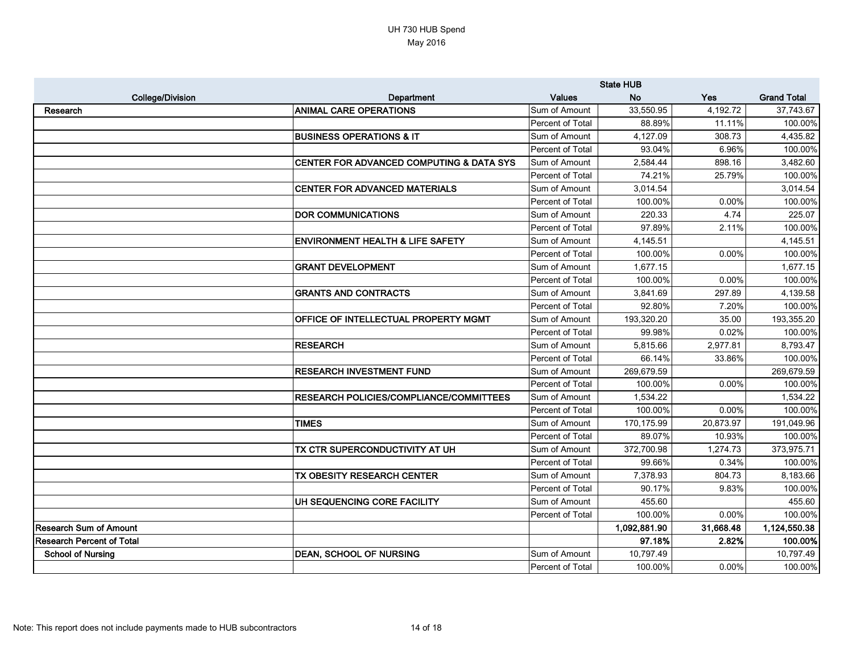|                                  |                                             | <b>State HUB</b> |              |            |                    |
|----------------------------------|---------------------------------------------|------------------|--------------|------------|--------------------|
| <b>College/Division</b>          | Department                                  | <b>Values</b>    | <b>No</b>    | <b>Yes</b> | <b>Grand Total</b> |
| Research                         | <b>ANIMAL CARE OPERATIONS</b>               | Sum of Amount    | 33,550.95    | 4,192.72   | 37,743.67          |
|                                  |                                             | Percent of Total | 88.89%       | 11.11%     | 100.00%            |
|                                  | <b>BUSINESS OPERATIONS &amp; IT</b>         | Sum of Amount    | 4,127.09     | 308.73     | 4,435.82           |
|                                  |                                             | Percent of Total | 93.04%       | 6.96%      | 100.00%            |
|                                  | CENTER FOR ADVANCED COMPUTING & DATA SYS    | Sum of Amount    | 2,584.44     | 898.16     | 3,482.60           |
|                                  |                                             | Percent of Total | 74.21%       | 25.79%     | 100.00%            |
|                                  | <b>CENTER FOR ADVANCED MATERIALS</b>        | Sum of Amount    | 3,014.54     |            | 3,014.54           |
|                                  |                                             | Percent of Total | 100.00%      | 0.00%      | 100.00%            |
|                                  | <b>DOR COMMUNICATIONS</b>                   | Sum of Amount    | 220.33       | 4.74       | 225.07             |
|                                  |                                             | Percent of Total | 97.89%       | 2.11%      | 100.00%            |
|                                  | <b>ENVIRONMENT HEALTH &amp; LIFE SAFETY</b> | Sum of Amount    | 4,145.51     |            | 4,145.51           |
|                                  |                                             | Percent of Total | 100.00%      | 0.00%      | 100.00%            |
|                                  | <b>GRANT DEVELOPMENT</b>                    | Sum of Amount    | 1,677.15     |            | 1,677.15           |
|                                  |                                             | Percent of Total | 100.00%      | 0.00%      | 100.00%            |
|                                  | <b>GRANTS AND CONTRACTS</b>                 | Sum of Amount    | 3,841.69     | 297.89     | 4,139.58           |
|                                  |                                             | Percent of Total | 92.80%       | 7.20%      | 100.00%            |
|                                  | OFFICE OF INTELLECTUAL PROPERTY MGMT        | Sum of Amount    | 193,320.20   | 35.00      | 193,355.20         |
|                                  |                                             | Percent of Total | 99.98%       | 0.02%      | 100.00%            |
|                                  | <b>RESEARCH</b>                             | Sum of Amount    | 5,815.66     | 2,977.81   | 8,793.47           |
|                                  |                                             | Percent of Total | 66.14%       | 33.86%     | 100.00%            |
|                                  | <b>RESEARCH INVESTMENT FUND</b>             | Sum of Amount    | 269,679.59   |            | 269,679.59         |
|                                  |                                             | Percent of Total | 100.00%      | 0.00%      | 100.00%            |
|                                  | RESEARCH POLICIES/COMPLIANCE/COMMITTEES     | Sum of Amount    | 1,534.22     |            | 1,534.22           |
|                                  |                                             | Percent of Total | 100.00%      | 0.00%      | 100.00%            |
|                                  | <b>TIMES</b>                                | Sum of Amount    | 170,175.99   | 20,873.97  | 191,049.96         |
|                                  |                                             | Percent of Total | 89.07%       | 10.93%     | 100.00%            |
|                                  | TX CTR SUPERCONDUCTIVITY AT UH              | Sum of Amount    | 372,700.98   | 1,274.73   | 373,975.71         |
|                                  |                                             | Percent of Total | 99.66%       | 0.34%      | 100.00%            |
|                                  | TX OBESITY RESEARCH CENTER                  | Sum of Amount    | 7,378.93     | 804.73     | 8,183.66           |
|                                  |                                             | Percent of Total | 90.17%       | 9.83%      | 100.00%            |
|                                  | UH SEQUENCING CORE FACILITY                 | Sum of Amount    | 455.60       |            | 455.60             |
|                                  |                                             | Percent of Total | 100.00%      | 0.00%      | 100.00%            |
| <b>Research Sum of Amount</b>    |                                             |                  | 1,092,881.90 | 31,668.48  | 1,124,550.38       |
| <b>Research Percent of Total</b> |                                             |                  | 97.18%       | 2.82%      | 100.00%            |
| <b>School of Nursing</b>         | <b>DEAN, SCHOOL OF NURSING</b>              | Sum of Amount    | 10,797.49    |            | 10,797.49          |
|                                  |                                             | Percent of Total | 100.00%      | 0.00%      | 100.00%            |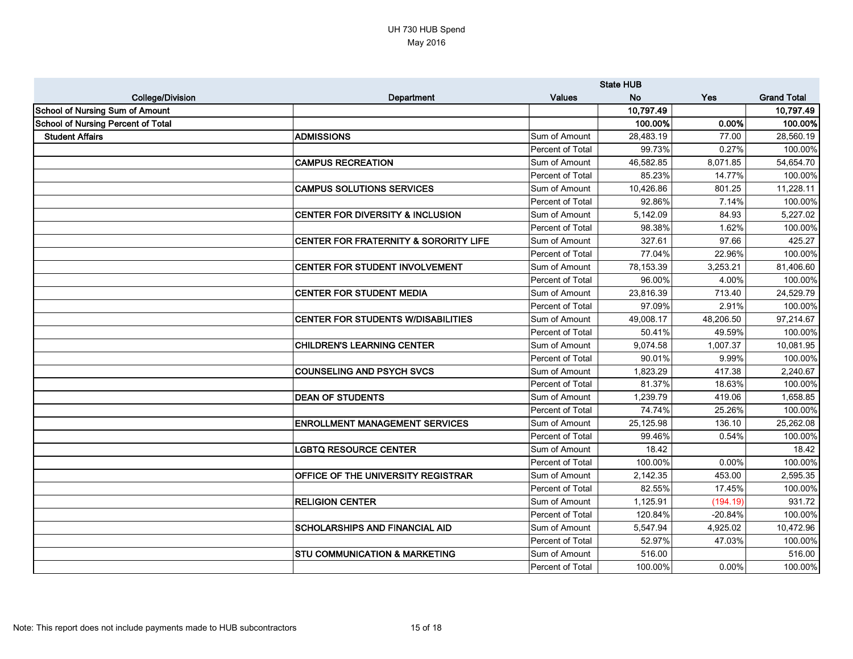|                                           |                                             | <b>State HUB</b> |           |           |                    |
|-------------------------------------------|---------------------------------------------|------------------|-----------|-----------|--------------------|
| <b>College/Division</b>                   | Department                                  | <b>Values</b>    | <b>No</b> | Yes       | <b>Grand Total</b> |
| <b>School of Nursing Sum of Amount</b>    |                                             |                  | 10,797.49 |           | 10,797.49          |
| <b>School of Nursing Percent of Total</b> |                                             |                  | 100.00%   | 0.00%     | 100.00%            |
| <b>Student Affairs</b>                    | <b>ADMISSIONS</b>                           | Sum of Amount    | 28,483.19 | 77.00     | 28,560.19          |
|                                           |                                             | Percent of Total | 99.73%    | 0.27%     | 100.00%            |
|                                           | <b>CAMPUS RECREATION</b>                    | Sum of Amount    | 46,582.85 | 8,071.85  | 54,654.70          |
|                                           |                                             | Percent of Total | 85.23%    | 14.77%    | 100.00%            |
|                                           | <b>CAMPUS SOLUTIONS SERVICES</b>            | Sum of Amount    | 10,426.86 | 801.25    | 11,228.11          |
|                                           |                                             | Percent of Total | 92.86%    | 7.14%     | 100.00%            |
|                                           | <b>CENTER FOR DIVERSITY &amp; INCLUSION</b> | Sum of Amount    | 5,142.09  | 84.93     | 5,227.02           |
|                                           |                                             | Percent of Total | 98.38%    | 1.62%     | 100.00%            |
|                                           | CENTER FOR FRATERNITY & SORORITY LIFE       | Sum of Amount    | 327.61    | 97.66     | 425.27             |
|                                           |                                             | Percent of Total | 77.04%    | 22.96%    | 100.00%            |
|                                           | <b>CENTER FOR STUDENT INVOLVEMENT</b>       | Sum of Amount    | 78,153.39 | 3,253.21  | 81,406.60          |
|                                           |                                             | Percent of Total | 96.00%    | 4.00%     | 100.00%            |
|                                           | <b>CENTER FOR STUDENT MEDIA</b>             | Sum of Amount    | 23,816.39 | 713.40    | 24,529.79          |
|                                           |                                             | Percent of Total | 97.09%    | 2.91%     | 100.00%            |
|                                           | <b>CENTER FOR STUDENTS W/DISABILITIES</b>   | Sum of Amount    | 49,008.17 | 48,206.50 | 97,214.67          |
|                                           |                                             | Percent of Total | 50.41%    | 49.59%    | 100.00%            |
|                                           | <b>CHILDREN'S LEARNING CENTER</b>           | Sum of Amount    | 9,074.58  | 1,007.37  | 10,081.95          |
|                                           |                                             | Percent of Total | 90.01%    | 9.99%     | 100.00%            |
|                                           | <b>COUNSELING AND PSYCH SVCS</b>            | Sum of Amount    | 1,823.29  | 417.38    | 2,240.67           |
|                                           |                                             | Percent of Total | 81.37%    | 18.63%    | 100.00%            |
|                                           | <b>DEAN OF STUDENTS</b>                     | Sum of Amount    | 1,239.79  | 419.06    | 1,658.85           |
|                                           |                                             | Percent of Total | 74.74%    | 25.26%    | 100.00%            |
|                                           | <b>ENROLLMENT MANAGEMENT SERVICES</b>       | Sum of Amount    | 25,125.98 | 136.10    | 25,262.08          |
|                                           |                                             | Percent of Total | 99.46%    | 0.54%     | 100.00%            |
|                                           | <b>LGBTQ RESOURCE CENTER</b>                | Sum of Amount    | 18.42     |           | 18.42              |
|                                           |                                             | Percent of Total | 100.00%   | 0.00%     | 100.00%            |
|                                           | <b>OFFICE OF THE UNIVERSITY REGISTRAR</b>   | Sum of Amount    | 2,142.35  | 453.00    | 2,595.35           |
|                                           |                                             | Percent of Total | 82.55%    | 17.45%    | 100.00%            |
|                                           | <b>RELIGION CENTER</b>                      | Sum of Amount    | 1,125.91  | (194.19)  | 931.72             |
|                                           |                                             | Percent of Total | 120.84%   | $-20.84%$ | 100.00%            |
|                                           | <b>SCHOLARSHIPS AND FINANCIAL AID</b>       | Sum of Amount    | 5,547.94  | 4,925.02  | 10,472.96          |
|                                           |                                             | Percent of Total | 52.97%    | 47.03%    | 100.00%            |
|                                           | <b>STU COMMUNICATION &amp; MARKETING</b>    | Sum of Amount    | 516.00    |           | 516.00             |
|                                           |                                             | Percent of Total | 100.00%   | 0.00%     | 100.00%            |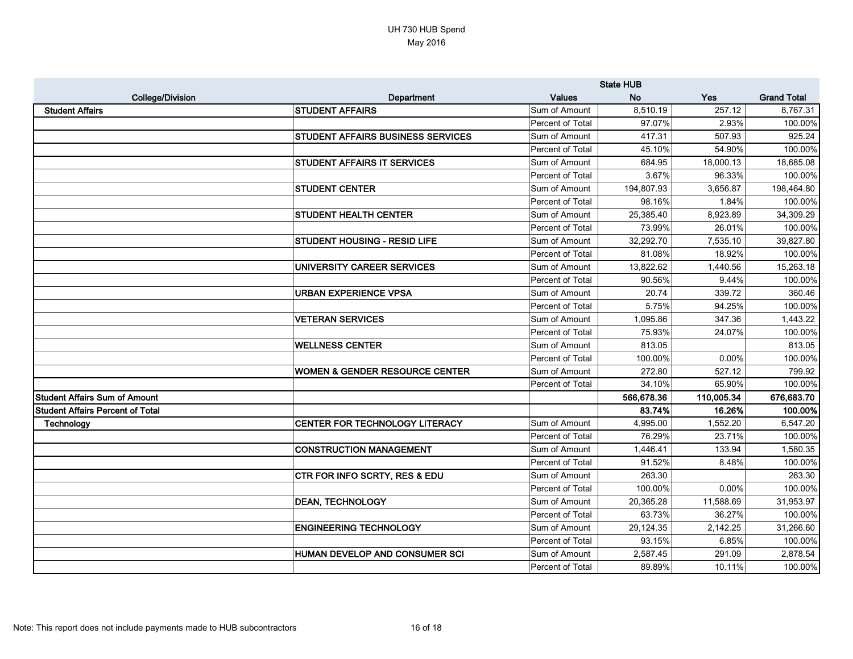|                                         |                                           | <b>State HUB</b> |            |            |                    |
|-----------------------------------------|-------------------------------------------|------------------|------------|------------|--------------------|
| <b>College/Division</b>                 | Department                                | <b>Values</b>    | <b>No</b>  | <b>Yes</b> | <b>Grand Total</b> |
| <b>Student Affairs</b>                  | <b>STUDENT AFFAIRS</b>                    | Sum of Amount    | 8,510.19   | 257.12     | 8,767.31           |
|                                         |                                           | Percent of Total | 97.07%     | 2.93%      | 100.00%            |
|                                         | <b>STUDENT AFFAIRS BUSINESS SERVICES</b>  | Sum of Amount    | 417.31     | 507.93     | 925.24             |
|                                         |                                           | Percent of Total | 45.10%     | 54.90%     | 100.00%            |
|                                         | <b>STUDENT AFFAIRS IT SERVICES</b>        | Sum of Amount    | 684.95     | 18,000.13  | 18,685.08          |
|                                         |                                           | Percent of Total | 3.67%      | 96.33%     | 100.00%            |
|                                         | <b>STUDENT CENTER</b>                     | Sum of Amount    | 194,807.93 | 3,656.87   | 198,464.80         |
|                                         |                                           | Percent of Total | 98.16%     | 1.84%      | 100.00%            |
|                                         | <b>STUDENT HEALTH CENTER</b>              | Sum of Amount    | 25,385.40  | 8,923.89   | 34,309.29          |
|                                         |                                           | Percent of Total | 73.99%     | 26.01%     | 100.00%            |
|                                         | <b>STUDENT HOUSING - RESID LIFE</b>       | Sum of Amount    | 32,292.70  | 7,535.10   | 39,827.80          |
|                                         |                                           | Percent of Total | 81.08%     | 18.92%     | 100.00%            |
|                                         | UNIVERSITY CAREER SERVICES                | Sum of Amount    | 13,822.62  | 1,440.56   | 15,263.18          |
|                                         |                                           | Percent of Total | 90.56%     | 9.44%      | 100.00%            |
|                                         | <b>URBAN EXPERIENCE VPSA</b>              | Sum of Amount    | 20.74      | 339.72     | 360.46             |
|                                         |                                           | Percent of Total | 5.75%      | 94.25%     | 100.00%            |
|                                         | <b>VETERAN SERVICES</b>                   | Sum of Amount    | 1,095.86   | 347.36     | 1,443.22           |
|                                         |                                           | Percent of Total | 75.93%     | 24.07%     | 100.00%            |
|                                         | <b>WELLNESS CENTER</b>                    | Sum of Amount    | 813.05     |            | 813.05             |
|                                         |                                           | Percent of Total | 100.00%    | 0.00%      | 100.00%            |
|                                         | <b>WOMEN &amp; GENDER RESOURCE CENTER</b> | Sum of Amount    | 272.80     | 527.12     | 799.92             |
|                                         |                                           | Percent of Total | 34.10%     | 65.90%     | 100.00%            |
| <b>Student Affairs Sum of Amount</b>    |                                           |                  | 566,678.36 | 110,005.34 | 676,683.70         |
| <b>Student Affairs Percent of Total</b> |                                           |                  | 83.74%     | 16.26%     | 100.00%            |
| Technology                              | <b>CENTER FOR TECHNOLOGY LITERACY</b>     | Sum of Amount    | 4,995.00   | 1,552.20   | 6,547.20           |
|                                         |                                           | Percent of Total | 76.29%     | 23.71%     | 100.00%            |
|                                         | <b>CONSTRUCTION MANAGEMENT</b>            | Sum of Amount    | 1,446.41   | 133.94     | 1,580.35           |
|                                         |                                           | Percent of Total | 91.52%     | 8.48%      | 100.00%            |
|                                         | <b>CTR FOR INFO SCRTY, RES &amp; EDU</b>  | Sum of Amount    | 263.30     |            | 263.30             |
|                                         |                                           | Percent of Total | 100.00%    | 0.00%      | 100.00%            |
|                                         | <b>DEAN, TECHNOLOGY</b>                   | Sum of Amount    | 20,365.28  | 11,588.69  | 31,953.97          |
|                                         |                                           | Percent of Total | 63.73%     | 36.27%     | 100.00%            |
|                                         | <b>ENGINEERING TECHNOLOGY</b>             | Sum of Amount    | 29,124.35  | 2,142.25   | 31,266.60          |
|                                         |                                           | Percent of Total | 93.15%     | 6.85%      | 100.00%            |
|                                         | HUMAN DEVELOP AND CONSUMER SCI            | Sum of Amount    | 2,587.45   | 291.09     | 2,878.54           |
|                                         |                                           | Percent of Total | 89.89%     | 10.11%     | 100.00%            |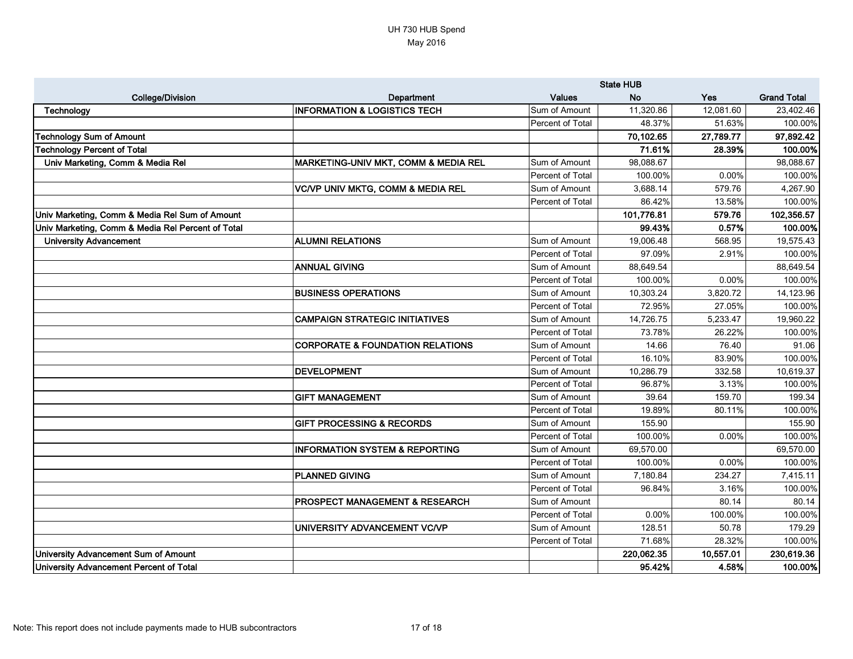|                                                   |                                                 | <b>State HUB</b> |            |           |                    |
|---------------------------------------------------|-------------------------------------------------|------------------|------------|-----------|--------------------|
| <b>College/Division</b>                           | <b>Department</b>                               | <b>Values</b>    | <b>No</b>  | Yes       | <b>Grand Total</b> |
| Technology                                        | <b>INFORMATION &amp; LOGISTICS TECH</b>         | Sum of Amount    | 11,320.86  | 12,081.60 | 23,402.46          |
|                                                   |                                                 | Percent of Total | 48.37%     | 51.63%    | 100.00%            |
| <b>Technology Sum of Amount</b>                   |                                                 |                  | 70,102.65  | 27,789.77 | 97,892.42          |
| <b>Technology Percent of Total</b>                |                                                 |                  | 71.61%     | 28.39%    | 100.00%            |
| Univ Marketing, Comm & Media Rel                  | <b>MARKETING-UNIV MKT, COMM &amp; MEDIA REL</b> | Sum of Amount    | 98,088.67  |           | 98,088.67          |
|                                                   |                                                 | Percent of Total | 100.00%    | 0.00%     | 100.00%            |
|                                                   | <b>VC/VP UNIV MKTG, COMM &amp; MEDIA REL</b>    | Sum of Amount    | 3,688.14   | 579.76    | 4,267.90           |
|                                                   |                                                 | Percent of Total | 86.42%     | 13.58%    | 100.00%            |
| Univ Marketing, Comm & Media Rel Sum of Amount    |                                                 |                  | 101,776.81 | 579.76    | 102,356.57         |
| Univ Marketing, Comm & Media Rel Percent of Total |                                                 |                  | 99.43%     | 0.57%     | 100.00%            |
| <b>University Advancement</b>                     | <b>ALUMNI RELATIONS</b>                         | Sum of Amount    | 19,006.48  | 568.95    | 19,575.43          |
|                                                   |                                                 | Percent of Total | 97.09%     | 2.91%     | 100.00%            |
|                                                   | <b>ANNUAL GIVING</b>                            | Sum of Amount    | 88,649.54  |           | 88,649.54          |
|                                                   |                                                 | Percent of Total | 100.00%    | 0.00%     | 100.00%            |
|                                                   | <b>BUSINESS OPERATIONS</b>                      | Sum of Amount    | 10,303.24  | 3,820.72  | 14,123.96          |
|                                                   |                                                 | Percent of Total | 72.95%     | 27.05%    | 100.00%            |
|                                                   | <b>CAMPAIGN STRATEGIC INITIATIVES</b>           | Sum of Amount    | 14,726.75  | 5,233.47  | 19,960.22          |
|                                                   |                                                 | Percent of Total | 73.78%     | 26.22%    | 100.00%            |
|                                                   | <b>CORPORATE &amp; FOUNDATION RELATIONS</b>     | Sum of Amount    | 14.66      | 76.40     | 91.06              |
|                                                   |                                                 | Percent of Total | 16.10%     | 83.90%    | 100.00%            |
|                                                   | DEVELOPMENT                                     | Sum of Amount    | 10,286.79  | 332.58    | 10,619.37          |
|                                                   |                                                 | Percent of Total | 96.87%     | 3.13%     | 100.00%            |
|                                                   | <b>GIFT MANAGEMENT</b>                          | Sum of Amount    | 39.64      | 159.70    | 199.34             |
|                                                   |                                                 | Percent of Total | 19.89%     | 80.11%    | 100.00%            |
|                                                   | <b>GIFT PROCESSING &amp; RECORDS</b>            | Sum of Amount    | 155.90     |           | 155.90             |
|                                                   |                                                 | Percent of Total | 100.00%    | 0.00%     | 100.00%            |
|                                                   | <b>INFORMATION SYSTEM &amp; REPORTING</b>       | Sum of Amount    | 69,570.00  |           | 69,570.00          |
|                                                   |                                                 | Percent of Total | 100.00%    | 0.00%     | 100.00%            |
|                                                   | <b>PLANNED GIVING</b>                           | Sum of Amount    | 7,180.84   | 234.27    | 7,415.11           |
|                                                   |                                                 | Percent of Total | 96.84%     | 3.16%     | 100.00%            |
|                                                   | <b>PROSPECT MANAGEMENT &amp; RESEARCH</b>       | Sum of Amount    |            | 80.14     | 80.14              |
|                                                   |                                                 | Percent of Total | 0.00%      | 100.00%   | 100.00%            |
|                                                   | UNIVERSITY ADVANCEMENT VC/VP                    | Sum of Amount    | 128.51     | 50.78     | 179.29             |
|                                                   |                                                 | Percent of Total | 71.68%     | 28.32%    | 100.00%            |
| <b>University Advancement Sum of Amount</b>       |                                                 |                  | 220,062.35 | 10,557.01 | 230,619.36         |
| University Advancement Percent of Total           |                                                 |                  | 95.42%     | 4.58%     | 100.00%            |